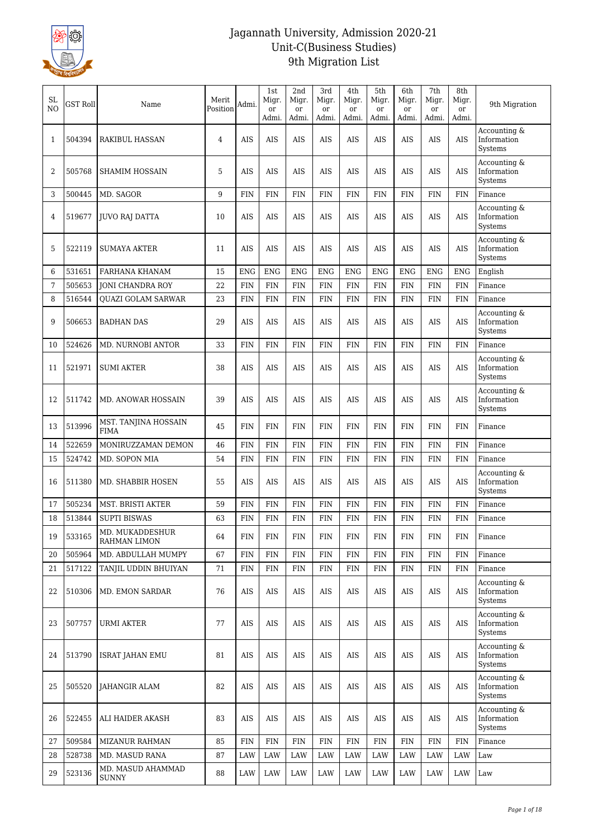

| <b>SL</b><br>N <sub>O</sub> | <b>GST Roll</b>  | Name                                    | Merit<br>Position | Admi.                    | 1st<br>Migr.<br>or<br>Admi. | 2nd<br>Migr.<br><sub>or</sub><br>Admi. | 3rd<br>Migr.<br><sub>or</sub><br>Admi. | 4th<br>Migr.<br>or<br>Admi. | 5th<br>Migr.<br><sub>or</sub><br>Admi. | 6th<br>Migr.<br><sub>or</sub><br>Admi. | 7th<br>Migr.<br><sub>or</sub><br>Admi. | 8th<br>Migr.<br><sub>or</sub><br>Admi. | 9th Migration                                     |
|-----------------------------|------------------|-----------------------------------------|-------------------|--------------------------|-----------------------------|----------------------------------------|----------------------------------------|-----------------------------|----------------------------------------|----------------------------------------|----------------------------------------|----------------------------------------|---------------------------------------------------|
| 1                           | 504394           | RAKIBUL HASSAN                          | $\overline{4}$    | <b>AIS</b>               | AIS                         | AIS                                    | AIS                                    | AIS                         | AIS                                    | AIS                                    | AIS                                    | AIS                                    | Accounting &<br>Information<br>Systems            |
| 2                           | 505768           | <b>SHAMIM HOSSAIN</b>                   | 5                 | <b>AIS</b>               | <b>AIS</b>                  | AIS                                    | AIS                                    | <b>AIS</b>                  | <b>AIS</b>                             | <b>AIS</b>                             | <b>AIS</b>                             | <b>AIS</b>                             | Accounting &<br>Information<br>Systems            |
| 3                           | 500445           | MD. SAGOR                               | 9                 | <b>FIN</b>               | <b>FIN</b>                  | <b>FIN</b>                             | <b>FIN</b>                             | <b>FIN</b>                  | <b>FIN</b>                             | <b>FIN</b>                             | <b>FIN</b>                             | FIN                                    | Finance                                           |
| 4                           | 519677           | JUVO RAJ DATTA                          | 10                | AIS                      | AIS                         | <b>AIS</b>                             | AIS                                    | AIS                         | <b>AIS</b>                             | <b>AIS</b>                             | AIS                                    | AIS                                    | Accounting &<br>Information<br>Systems            |
| 5                           | 522119           | <b>SUMAYA AKTER</b>                     | 11                | <b>AIS</b>               | AIS                         | AIS                                    | AIS                                    | AIS                         | AIS                                    | AIS                                    | AIS                                    | <b>AIS</b>                             | Accounting &<br>Information<br>Systems            |
| 6                           | 531651           | FARHANA KHANAM                          | 15                | <b>ENG</b>               | <b>ENG</b>                  | <b>ENG</b>                             | <b>ENG</b>                             | <b>ENG</b>                  | <b>ENG</b>                             | <b>ENG</b>                             | <b>ENG</b>                             | <b>ENG</b>                             | English                                           |
| 7                           | 505653           | <b>JONI CHANDRA ROY</b>                 | 22                | <b>FIN</b>               | <b>FIN</b>                  | <b>FIN</b>                             | <b>FIN</b>                             | <b>FIN</b>                  | <b>FIN</b>                             | <b>FIN</b>                             | <b>FIN</b>                             | <b>FIN</b>                             | Finance                                           |
| 8                           | 516544           | <b>OUAZI GOLAM SARWAR</b>               | 23                | <b>FIN</b>               | <b>FIN</b>                  | <b>FIN</b>                             | <b>FIN</b>                             | <b>FIN</b>                  | <b>FIN</b>                             | <b>FIN</b>                             | <b>FIN</b>                             | <b>FIN</b>                             | Finance                                           |
| 9                           | 506653           | <b>BADHAN DAS</b>                       | 29                | <b>AIS</b>               | <b>AIS</b>                  | <b>AIS</b>                             | AIS                                    | <b>AIS</b>                  | <b>AIS</b>                             | <b>AIS</b>                             | <b>AIS</b>                             | <b>AIS</b>                             | Accounting &<br>Information<br>Systems            |
| 10                          | 524626           | MD. NURNOBI ANTOR                       | 33                | <b>FIN</b>               | <b>FIN</b>                  | <b>FIN</b>                             | <b>FIN</b>                             | <b>FIN</b>                  | FIN                                    | <b>FIN</b>                             | FIN                                    | <b>FIN</b>                             | Finance                                           |
| 11                          | 521971           | <b>SUMI AKTER</b>                       | 38                | <b>AIS</b>               | AIS                         | AIS                                    | AIS                                    | AIS                         | AIS                                    | AIS                                    | AIS                                    | AIS                                    | Accounting &<br>Information<br>Systems            |
| 12                          | 511742           | MD. ANOWAR HOSSAIN                      | 39                | <b>AIS</b>               | AIS                         | AIS                                    | AIS                                    | AIS                         | AIS                                    | AIS                                    | AIS                                    | <b>AIS</b>                             | Accounting &<br>Information<br>Systems            |
| 13                          | 513996           | MST. TANJINA HOSSAIN<br><b>FIMA</b>     | 45                | <b>FIN</b>               | <b>FIN</b>                  | <b>FIN</b>                             | <b>FIN</b>                             | <b>FIN</b>                  | <b>FIN</b>                             | <b>FIN</b>                             | <b>FIN</b>                             | <b>FIN</b>                             | Finance                                           |
| 14                          | 522659           | MONIRUZZAMAN DEMON                      | 46                | <b>FIN</b>               | <b>FIN</b>                  | <b>FIN</b>                             | <b>FIN</b>                             | <b>FIN</b>                  | <b>FIN</b>                             | <b>FIN</b>                             | <b>FIN</b>                             | <b>FIN</b>                             | Finance                                           |
| 15                          | 524742           | MD. SOPON MIA                           | 54                | <b>FIN</b>               | <b>FIN</b>                  | <b>FIN</b>                             | <b>FIN</b>                             | <b>FIN</b>                  | <b>FIN</b>                             | <b>FIN</b>                             | <b>FIN</b>                             | <b>FIN</b>                             | Finance                                           |
| 16                          | 511380           | MD. SHABBIR HOSEN                       | 55                | <b>AIS</b>               | AIS                         | AIS                                    | AIS                                    | AIS                         | AIS                                    | AIS                                    | AIS                                    | <b>AIS</b>                             | Accounting &<br>Information<br>Systems            |
| 17                          | 505234           | MST. BRISTI AKTER                       | 59                | <b>FIN</b>               | <b>FIN</b>                  | <b>FIN</b>                             | <b>FIN</b>                             | <b>FIN</b>                  | <b>FIN</b>                             | <b>FIN</b>                             | <b>FIN</b>                             | <b>FIN</b>                             | Finance                                           |
| 18                          | 513844           | <b>SUPTI BISWAS</b>                     | 63                | <b>FIN</b>               | <b>FIN</b>                  | <b>FIN</b>                             | <b>FIN</b>                             | <b>FIN</b>                  | <b>FIN</b>                             | <b>FIN</b>                             | <b>FIN</b>                             | <b>FIN</b>                             | Finance                                           |
| 19                          | 533165           | MD. MUKADDESHUR<br>RAHMAN LIMON         | 64                | ${\rm FIN}$              | FIN                         | FIN                                    | FIN                                    | <b>FIN</b>                  | FIN                                    | FIN                                    | <b>FIN</b>                             | FIN                                    | Finance                                           |
| 20                          | 505964           | MD. ABDULLAH MUMPY                      | 67                | <b>FIN</b>               | <b>FIN</b>                  | FIN                                    | <b>FIN</b>                             | <b>FIN</b>                  | <b>FIN</b>                             | <b>FIN</b>                             | <b>FIN</b>                             | <b>FIN</b>                             | Finance                                           |
| 21<br>22                    | 517122<br>510306 | TANJIL UDDIN BHUIYAN<br>MD. EMON SARDAR | 71<br>76          | <b>FIN</b><br><b>AIS</b> | <b>FIN</b><br>AIS           | FIN<br>AIS                             | FIN<br>AIS                             | <b>FIN</b><br><b>AIS</b>    | <b>FIN</b><br>AIS                      | <b>FIN</b><br>AIS                      | FIN<br>AIS                             | <b>FIN</b><br>AIS                      | Finance<br>Accounting &<br>Information<br>Systems |
| 23                          | 507757           | URMI AKTER                              | 77                | AIS                      | AIS                         | AIS                                    | AIS                                    | AIS                         | AIS                                    | AIS                                    | AIS                                    | AIS                                    | Accounting &<br>Information<br>Systems            |
| 24                          | 513790           | <b>ISRAT JAHAN EMU</b>                  | 81                | AIS                      | AIS                         | AIS                                    | AIS                                    | AIS                         | AIS                                    | AIS                                    | AIS                                    | AIS                                    | Accounting &<br>Information<br>Systems            |
| 25                          | 505520           | JAHANGIR ALAM                           | 82                | AIS                      | AIS                         | AIS                                    | AIS                                    | AIS                         | AIS                                    | AIS                                    | AIS                                    | <b>AIS</b>                             | Accounting &<br>Information<br>Systems            |
| 26                          | 522455           | ALI HAIDER AKASH                        | 83                | <b>AIS</b>               | AIS                         | AIS                                    | AIS                                    | <b>AIS</b>                  | AIS                                    | AIS                                    | AIS                                    | AIS                                    | Accounting &<br>Information<br>Systems            |
| 27                          | 509584           | MIZANUR RAHMAN                          | 85                | <b>FIN</b>               | <b>FIN</b>                  | FIN                                    | FIN                                    | <b>FIN</b>                  | FIN                                    | FIN                                    | FIN                                    | <b>FIN</b>                             | Finance                                           |
| 28                          | 528738           | MD. MASUD RANA                          | 87                | LAW                      | LAW                         | LAW                                    | LAW                                    | LAW                         | LAW                                    | LAW                                    | LAW                                    | LAW                                    | Law                                               |
| 29                          | 523136           | MD. MASUD AHAMMAD<br><b>SUNNY</b>       | 88                | LAW                      | LAW                         | LAW                                    | LAW                                    | LAW                         | LAW                                    | LAW                                    | LAW                                    | LAW                                    | Law                                               |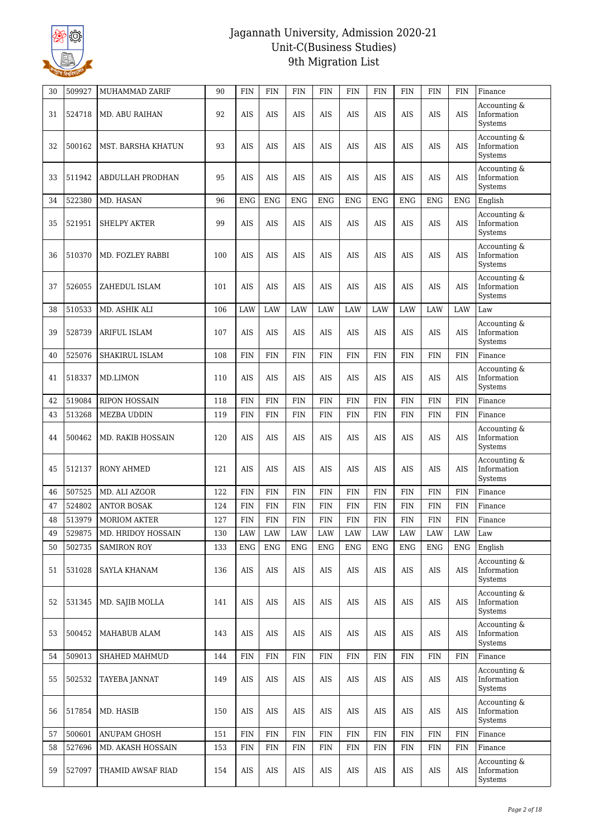

| 30 | 509927 | MUHAMMAD ZARIF        | 90  | <b>FIN</b> | <b>FIN</b> | <b>FIN</b> | <b>FIN</b> | <b>FIN</b> | <b>FIN</b> | <b>FIN</b> | <b>FIN</b> | <b>FIN</b> | Finance                                |
|----|--------|-----------------------|-----|------------|------------|------------|------------|------------|------------|------------|------------|------------|----------------------------------------|
| 31 | 524718 | <b>MD. ABU RAIHAN</b> | 92  | <b>AIS</b> | AIS        | <b>AIS</b> | AIS        | <b>AIS</b> | <b>AIS</b> | <b>AIS</b> | <b>AIS</b> | <b>AIS</b> | Accounting &<br>Information<br>Systems |
| 32 | 500162 | MST. BARSHA KHATUN    | 93  | AIS        | AIS        | <b>AIS</b> | <b>AIS</b> | <b>AIS</b> | <b>AIS</b> | <b>AIS</b> | <b>AIS</b> | <b>AIS</b> | Accounting &<br>Information<br>Systems |
| 33 | 511942 | ABDULLAH PRODHAN      | 95  | AIS        | AIS        | AIS        | AIS        | <b>AIS</b> | <b>AIS</b> | <b>AIS</b> | <b>AIS</b> | AIS        | Accounting &<br>Information<br>Systems |
| 34 | 522380 | MD. HASAN             | 96  | <b>ENG</b> | <b>ENG</b> | <b>ENG</b> | <b>ENG</b> | <b>ENG</b> | <b>ENG</b> | <b>ENG</b> | <b>ENG</b> | <b>ENG</b> | English                                |
| 35 | 521951 | <b>SHELPY AKTER</b>   | 99  | <b>AIS</b> | <b>AIS</b> | <b>AIS</b> | AIS        | <b>AIS</b> | <b>AIS</b> | <b>AIS</b> | <b>AIS</b> | <b>AIS</b> | Accounting &<br>Information<br>Systems |
| 36 | 510370 | MD. FOZLEY RABBI      | 100 | <b>AIS</b> | AIS        | <b>AIS</b> | <b>AIS</b> | <b>AIS</b> | <b>AIS</b> | <b>AIS</b> | <b>AIS</b> | <b>AIS</b> | Accounting &<br>Information<br>Systems |
| 37 | 526055 | ZAHEDUL ISLAM         | 101 | AIS        | AIS        | AIS        | AIS        | AIS        | <b>AIS</b> | <b>AIS</b> | <b>AIS</b> | <b>AIS</b> | Accounting &<br>Information<br>Systems |
| 38 | 510533 | MD. ASHIK ALI         | 106 | LAW        | <b>LAW</b> | LAW        | <b>LAW</b> | LAW        | LAW        | LAW        | LAW        | LAW        | Law                                    |
| 39 | 528739 | ARIFUL ISLAM          | 107 | <b>AIS</b> | AIS        | <b>AIS</b> | <b>AIS</b> | <b>AIS</b> | <b>AIS</b> | <b>AIS</b> | <b>AIS</b> | AIS        | Accounting &<br>Information<br>Systems |
| 40 | 525076 | SHAKIRUL ISLAM        | 108 | <b>FIN</b> | <b>FIN</b> | FIN        | FIN        | <b>FIN</b> | FIN        | <b>FIN</b> | <b>FIN</b> | <b>FIN</b> | Finance                                |
| 41 | 518337 | MD.LIMON              | 110 | AIS        | AIS        | AIS        | AIS        | AIS        | AIS        | AIS        | AIS        | AIS        | Accounting &<br>Information<br>Systems |
| 42 | 519084 | <b>RIPON HOSSAIN</b>  | 118 | <b>FIN</b> | <b>FIN</b> | <b>FIN</b> | <b>FIN</b> | <b>FIN</b> | <b>FIN</b> | <b>FIN</b> | <b>FIN</b> | <b>FIN</b> | Finance                                |
| 43 | 513268 | <b>MEZBA UDDIN</b>    | 119 | <b>FIN</b> | <b>FIN</b> | FIN        | <b>FIN</b> | <b>FIN</b> | <b>FIN</b> | <b>FIN</b> | <b>FIN</b> | <b>FIN</b> | Finance                                |
| 44 | 500462 | MD. RAKIB HOSSAIN     | 120 | AIS        | AIS        | AIS        | AIS        | AIS        | <b>AIS</b> | <b>AIS</b> | <b>AIS</b> | <b>AIS</b> | Accounting &<br>Information<br>Systems |
| 45 | 512137 | <b>RONY AHMED</b>     | 121 | AIS        | AIS        | AIS        | AIS        | AIS        | AIS        | AIS        | AIS        | <b>AIS</b> | Accounting &<br>Information<br>Systems |
| 46 | 507525 | MD. ALI AZGOR         | 122 | <b>FIN</b> | <b>FIN</b> | <b>FIN</b> | <b>FIN</b> | <b>FIN</b> | <b>FIN</b> | <b>FIN</b> | <b>FIN</b> | <b>FIN</b> | Finance                                |
| 47 | 524802 | <b>ANTOR BOSAK</b>    | 124 | <b>FIN</b> | <b>FIN</b> | <b>FIN</b> | <b>FIN</b> | <b>FIN</b> | <b>FIN</b> | <b>FIN</b> | <b>FIN</b> | <b>FIN</b> | Finance                                |
| 48 | 513979 | <b>MORIOM AKTER</b>   | 127 | <b>FIN</b> | <b>FIN</b> | <b>FIN</b> | <b>FIN</b> | <b>FIN</b> | <b>FIN</b> | <b>FIN</b> | <b>FIN</b> | <b>FIN</b> | Finance                                |
| 49 | 529875 | MD. HRIDOY HOSSAIN    | 130 | LAW        | LAW        | LAW        | LAW        | LAW        | LAW        | LAW        | LAW        | LAW        | Law                                    |
| 50 | 502735 | <b>SAMIRON ROY</b>    | 133 | <b>ENG</b> | <b>ENG</b> | <b>ENG</b> | <b>ENG</b> | <b>ENG</b> | <b>ENG</b> | <b>ENG</b> | <b>ENG</b> | <b>ENG</b> | English                                |
| 51 | 531028 | SAYLA KHANAM          | 136 | AIS        | $\rm{AIS}$ | <b>AIS</b> | AIS        | <b>AIS</b> | <b>AIS</b> | <b>AIS</b> | AIS        | AIS        | Accounting &<br>Information<br>Systems |
| 52 | 531345 | MD. SAJIB MOLLA       | 141 | AIS        | AIS        | AIS        | AIS        | <b>AIS</b> | <b>AIS</b> | AIS        | AIS        | AIS        | Accounting &<br>Information<br>Systems |
| 53 | 500452 | MAHABUB ALAM          | 143 | AIS        | AIS        | AIS        | AIS        | AIS        | AIS        | AIS        | AIS        | AIS        | Accounting &<br>Information<br>Systems |
| 54 | 509013 | SHAHED MAHMUD         | 144 | <b>FIN</b> | <b>FIN</b> | FIN        | FIN        | FIN        | FIN        | <b>FIN</b> | <b>FIN</b> | <b>FIN</b> | Finance                                |
| 55 | 502532 | TAYEBA JANNAT         | 149 | AIS        | AIS        | AIS        | AIS        | AIS        | AIS        | <b>AIS</b> | AIS        | <b>AIS</b> | Accounting &<br>Information<br>Systems |
| 56 | 517854 | MD. HASIB             | 150 | AIS        | AIS        | AIS        | AIS        | <b>AIS</b> | AIS        | AIS        | AIS        | AIS        | Accounting &<br>Information<br>Systems |
| 57 | 500601 | ANUPAM GHOSH          | 151 | <b>FIN</b> | <b>FIN</b> | <b>FIN</b> | <b>FIN</b> | <b>FIN</b> | FIN        | <b>FIN</b> | <b>FIN</b> | <b>FIN</b> | Finance                                |
| 58 | 527696 | MD. AKASH HOSSAIN     | 153 | <b>FIN</b> | <b>FIN</b> | FIN        | FIN        | <b>FIN</b> | FIN        | <b>FIN</b> | <b>FIN</b> | <b>FIN</b> | Finance                                |
| 59 | 527097 | THAMID AWSAF RIAD     | 154 | <b>AIS</b> | $\rm AIS$  | AIS        | $\rm AIS$  | <b>AIS</b> | <b>AIS</b> | <b>AIS</b> | <b>AIS</b> | AIS        | Accounting &<br>Information<br>Systems |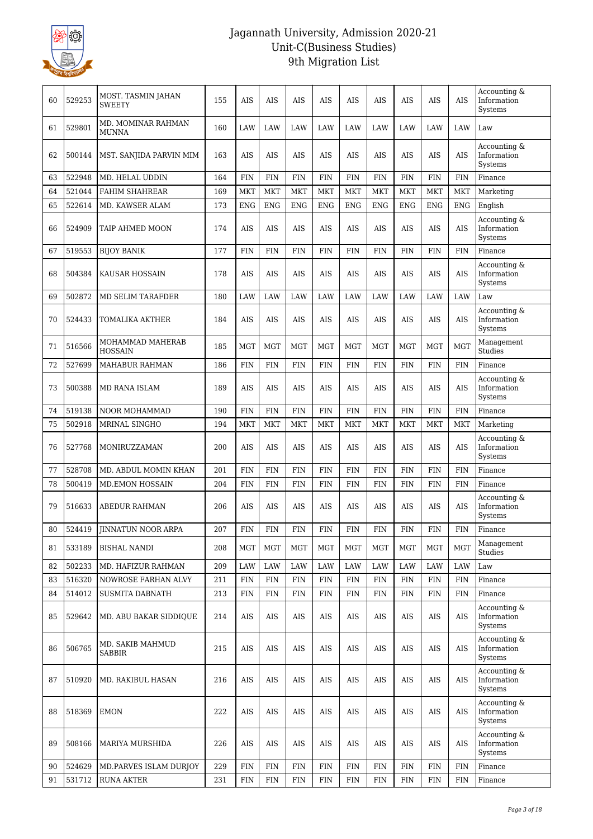

| 60 | 529253 | MOST. TASMIN JAHAN<br><b>SWEETY</b> | 155     | AIS         | <b>AIS</b>  | <b>AIS</b>  | <b>AIS</b>  | <b>AIS</b>  | <b>AIS</b>  | <b>AIS</b>  | <b>AIS</b>  | <b>AIS</b>  | Accounting &<br>Information<br>Systems |
|----|--------|-------------------------------------|---------|-------------|-------------|-------------|-------------|-------------|-------------|-------------|-------------|-------------|----------------------------------------|
| 61 | 529801 | MD. MOMINAR RAHMAN<br><b>MUNNA</b>  | 160     | LAW         | LAW         | LAW         | LAW         | LAW         | LAW         | LAW         | LAW         | LAW         | Law                                    |
| 62 | 500144 | MST. SANJIDA PARVIN MIM             | 163     | AIS         | AIS         | AIS         | AIS         | AIS         | <b>AIS</b>  | AIS         | <b>AIS</b>  | <b>AIS</b>  | Accounting &<br>Information<br>Systems |
| 63 | 522948 | MD. HELAL UDDIN                     | 164     | <b>FIN</b>  | <b>FIN</b>  | <b>FIN</b>  | <b>FIN</b>  | <b>FIN</b>  | <b>FIN</b>  | <b>FIN</b>  | <b>FIN</b>  | <b>FIN</b>  | Finance                                |
| 64 | 521044 | <b>FAHIM SHAHREAR</b>               | 169     | <b>MKT</b>  | <b>MKT</b>  | <b>MKT</b>  | <b>MKT</b>  | <b>MKT</b>  | <b>MKT</b>  | <b>MKT</b>  | <b>MKT</b>  | <b>MKT</b>  | Marketing                              |
| 65 | 522614 | MD. KAWSER ALAM                     | 173     | <b>ENG</b>  | <b>ENG</b>  | <b>ENG</b>  | <b>ENG</b>  | <b>ENG</b>  | <b>ENG</b>  | <b>ENG</b>  | <b>ENG</b>  | <b>ENG</b>  | English                                |
| 66 | 524909 | TAIP AHMED MOON                     | 174     | <b>AIS</b>  | <b>AIS</b>  | AIS         | AIS         | <b>AIS</b>  | <b>AIS</b>  | <b>AIS</b>  | <b>AIS</b>  | <b>AIS</b>  | Accounting &<br>Information<br>Systems |
| 67 | 519553 | <b>BIJOY BANIK</b>                  | 177     | <b>FIN</b>  | <b>FIN</b>  | <b>FIN</b>  | <b>FIN</b>  | <b>FIN</b>  | <b>FIN</b>  | <b>FIN</b>  | <b>FIN</b>  | <b>FIN</b>  | Finance                                |
| 68 | 504384 | KAUSAR HOSSAIN                      | 178     | AIS         | <b>AIS</b>  | AIS         | AIS         | <b>AIS</b>  | <b>AIS</b>  | AIS         | <b>AIS</b>  | <b>AIS</b>  | Accounting &<br>Information<br>Systems |
| 69 | 502872 | <b>MD SELIM TARAFDER</b>            | 180     | LAW         | LAW         | LAW         | LAW         | LAW         | LAW         | LAW         | LAW         | LAW         | Law                                    |
| 70 | 524433 | TOMALIKA AKTHER                     | 184     | <b>AIS</b>  | <b>AIS</b>  | <b>AIS</b>  | <b>AIS</b>  | <b>AIS</b>  | <b>AIS</b>  | <b>AIS</b>  | <b>AIS</b>  | <b>AIS</b>  | Accounting &<br>Information<br>Systems |
| 71 | 516566 | MOHAMMAD MAHERAB<br><b>HOSSAIN</b>  | 185     | <b>MGT</b>  | <b>MGT</b>  | <b>MGT</b>  | <b>MGT</b>  | <b>MGT</b>  | <b>MGT</b>  | <b>MGT</b>  | <b>MGT</b>  | <b>MGT</b>  | Management<br>Studies                  |
| 72 | 527699 | <b>MAHABUR RAHMAN</b>               | 186     | <b>FIN</b>  | <b>FIN</b>  | <b>FIN</b>  | <b>FIN</b>  | <b>FIN</b>  | <b>FIN</b>  | <b>FIN</b>  | <b>FIN</b>  | <b>FIN</b>  | Finance                                |
| 73 | 500388 | MD RANA ISLAM                       | 189     | AIS         | AIS         | AIS         | AIS         | AIS         | AIS         | AIS         | AIS         | <b>AIS</b>  | Accounting &<br>Information<br>Systems |
| 74 | 519138 | NOOR MOHAMMAD                       | 190     | <b>FIN</b>  | <b>FIN</b>  | <b>FIN</b>  | <b>FIN</b>  | <b>FIN</b>  | <b>FIN</b>  | <b>FIN</b>  | <b>FIN</b>  | <b>FIN</b>  | Finance                                |
| 75 | 502918 | MRINAL SINGHO                       | 194     | <b>MKT</b>  | <b>MKT</b>  | <b>MKT</b>  | <b>MKT</b>  | <b>MKT</b>  | <b>MKT</b>  | <b>MKT</b>  | <b>MKT</b>  | <b>MKT</b>  | Marketing                              |
| 76 | 527768 | MONIRUZZAMAN                        | 200     | AIS         | AIS         | AIS         | AIS         | AIS         | AIS         | AIS         | AIS         | <b>AIS</b>  | Accounting &<br>Information<br>Systems |
| 77 | 528708 | MD. ABDUL MOMIN KHAN                | 201     | <b>FIN</b>  | <b>FIN</b>  | <b>FIN</b>  | <b>FIN</b>  | <b>FIN</b>  | <b>FIN</b>  | <b>FIN</b>  | <b>FIN</b>  | <b>FIN</b>  | Finance                                |
| 78 | 500419 | <b>MD.EMON HOSSAIN</b>              | 204     | <b>FIN</b>  | <b>FIN</b>  | <b>FIN</b>  | <b>FIN</b>  | <b>FIN</b>  | <b>FIN</b>  | <b>FIN</b>  | <b>FIN</b>  | <b>FIN</b>  | Finance                                |
| 79 | 516633 | ABEDUR RAHMAN                       | 206     | AIS         | AIS         | <b>AIS</b>  | AIS         | AIS         | AIS         | AIS         | AIS         | AIS         | Accounting &<br>Information<br>Systems |
| 80 |        | 524419 JINNATUN NOOR ARPA           | $207\,$ | ${\rm FIN}$ | ${\rm FIN}$ | ${\rm FIN}$ | ${\rm FIN}$ | ${\rm FIN}$ | ${\rm FIN}$ | ${\rm FIN}$ | ${\rm FIN}$ | ${\rm FIN}$ | Finance                                |
| 81 | 533189 | BISHAL NANDI                        | 208     | <b>MGT</b>  | MGT         | MGT         | MGT         | MGT         | MGT         | MGT         | MGT         | <b>MGT</b>  | Management<br>Studies                  |
| 82 | 502233 | MD. HAFIZUR RAHMAN                  | 209     | LAW         | LAW         | LAW         | LAW         | LAW         | LAW         | LAW         | LAW         | LAW         | Law                                    |
| 83 | 516320 | NOWROSE FARHAN ALVY                 | 211     | <b>FIN</b>  | <b>FIN</b>  | <b>FIN</b>  | <b>FIN</b>  | <b>FIN</b>  | <b>FIN</b>  | <b>FIN</b>  | <b>FIN</b>  | <b>FIN</b>  | Finance                                |
| 84 | 514012 | <b>SUSMITA DABNATH</b>              | 213     | FIN         | <b>FIN</b>  | <b>FIN</b>  | <b>FIN</b>  | <b>FIN</b>  | <b>FIN</b>  | <b>FIN</b>  | <b>FIN</b>  | <b>FIN</b>  | Finance                                |
| 85 | 529642 | <b>MD. ABU BAKAR SIDDIOUE</b>       | 214     | AIS         | AIS         | AIS         | AIS         | AIS         | AIS         | AIS         | AIS         | AIS         | Accounting &<br>Information<br>Systems |
| 86 | 506765 | MD. SAKIB MAHMUD<br>SABBIR          | 215     | AIS         | AIS         | AIS         | AIS         | <b>AIS</b>  | AIS         | AIS         | AIS         | <b>AIS</b>  | Accounting &<br>Information<br>Systems |
| 87 | 510920 | MD. RAKIBUL HASAN                   | 216     | AIS         | AIS         | AIS         | AIS         | AIS         | AIS         | AIS         | AIS         | AIS         | Accounting &<br>Information<br>Systems |
| 88 | 518369 | <b>EMON</b>                         | 222     | AIS         | AIS         | AIS         | AIS         | AIS         | AIS         | AIS         | AIS         | AIS         | Accounting &<br>Information<br>Systems |
| 89 | 508166 | MARIYA MURSHIDA                     | 226     | AIS         | <b>AIS</b>  | AIS         | AIS         | <b>AIS</b>  | <b>AIS</b>  | <b>AIS</b>  | <b>AIS</b>  | <b>AIS</b>  | Accounting &<br>Information<br>Systems |
| 90 | 524629 | MD.PARVES ISLAM DURJOY              | 229     | FIN         | <b>FIN</b>  | <b>FIN</b>  | <b>FIN</b>  | <b>FIN</b>  | <b>FIN</b>  | <b>FIN</b>  | <b>FIN</b>  | <b>FIN</b>  | Finance                                |
| 91 | 531712 | <b>RUNA AKTER</b>                   | 231     | FIN         | <b>FIN</b>  | <b>FIN</b>  | FIN         | <b>FIN</b>  | <b>FIN</b>  | <b>FIN</b>  | <b>FIN</b>  | <b>FIN</b>  | Finance                                |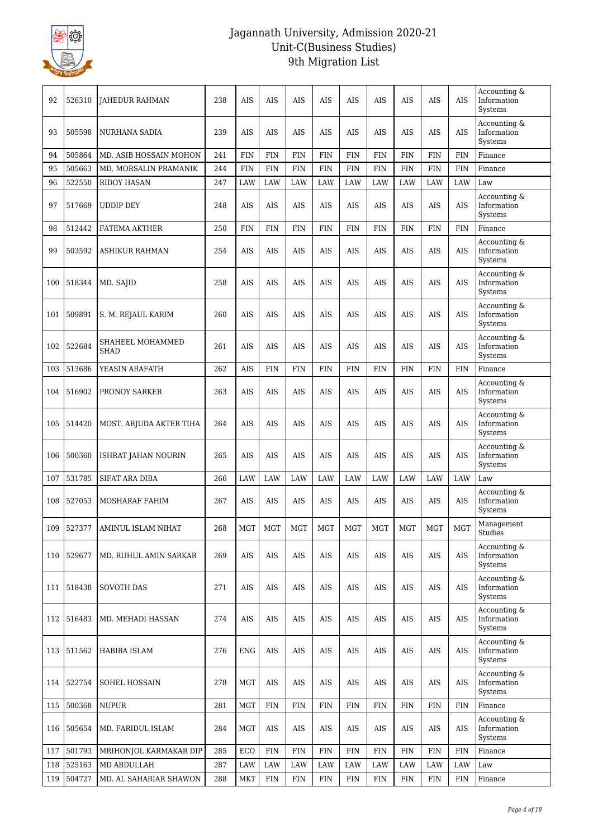

| 92  | 526310 | <b>JAHEDUR RAHMAN</b>           | 238 | AIS        | AIS        | AIS        | AIS        | AIS        | AIS        | AIS        | AIS        | <b>AIS</b> | Accounting &<br>Information<br>Systems                         |
|-----|--------|---------------------------------|-----|------------|------------|------------|------------|------------|------------|------------|------------|------------|----------------------------------------------------------------|
| 93  | 505598 | NURHANA SADIA                   | 239 | AIS        | AIS        | AIS        | AIS        | AIS        | AIS        | AIS        | AIS        | AIS        | Accounting &<br>Information<br>Systems                         |
| 94  | 505864 | MD. ASIB HOSSAIN MOHON          | 241 | <b>FIN</b> | <b>FIN</b> | <b>FIN</b> | <b>FIN</b> | <b>FIN</b> | <b>FIN</b> | <b>FIN</b> | <b>FIN</b> | <b>FIN</b> | Finance                                                        |
| 95  | 505663 | MD. MORSALIN PRAMANIK           | 244 | <b>FIN</b> | <b>FIN</b> | <b>FIN</b> | <b>FIN</b> | <b>FIN</b> | <b>FIN</b> | <b>FIN</b> | <b>FIN</b> | <b>FIN</b> | Finance                                                        |
| 96  | 522550 | RIDOY HASAN                     | 247 | LAW        | LAW        | LAW        | LAW        | LAW        | LAW        | LAW        | LAW        | LAW        | Law                                                            |
| 97  | 517669 | <b>UDDIP DEY</b>                | 248 | AIS        | AIS        | AIS        | <b>AIS</b> | <b>AIS</b> | AIS        | AIS        | <b>AIS</b> | AIS        | Accounting &<br>Information<br>Systems                         |
| 98  | 512442 | <b>FATEMA AKTHER</b>            | 250 | <b>FIN</b> | <b>FIN</b> | <b>FIN</b> | <b>FIN</b> | <b>FIN</b> | <b>FIN</b> | <b>FIN</b> | <b>FIN</b> | <b>FIN</b> | Finance                                                        |
| 99  | 503592 | <b>ASHIKUR RAHMAN</b>           | 254 | AIS        | AIS        | <b>AIS</b> | AIS        | <b>AIS</b> | <b>AIS</b> | <b>AIS</b> | <b>AIS</b> | <b>AIS</b> | Accounting &<br>Information<br>Systems                         |
| 100 | 518344 | MD. SAJID                       | 258 | AIS        | AIS        | AIS        | AIS        | AIS        | AIS        | AIS        | AIS        | AIS        | Accounting &<br>Information<br>Systems                         |
| 101 | 509891 | S. M. REJAUL KARIM              | 260 | AIS        | <b>AIS</b> | <b>AIS</b> | <b>AIS</b> | <b>AIS</b> | <b>AIS</b> | <b>AIS</b> | <b>AIS</b> | <b>AIS</b> | Accounting &<br>Information<br>Systems                         |
| 102 | 522684 | SHAHEEL MOHAMMED<br><b>SHAD</b> | 261 | AIS        | AIS        | <b>AIS</b> | $\rm{AIS}$ | <b>AIS</b> | <b>AIS</b> | <b>AIS</b> | <b>AIS</b> | <b>AIS</b> | Accounting &<br>Information<br>Systems                         |
| 103 | 513686 | YEASIN ARAFATH                  | 262 | <b>AIS</b> | <b>FIN</b> | FIN        | <b>FIN</b> | <b>FIN</b> | <b>FIN</b> | FIN        | <b>FIN</b> | <b>FIN</b> | Finance                                                        |
| 104 | 516902 | PRONOY SARKER                   | 263 | AIS        | AIS        | AIS        | AIS        | AIS        | AIS        | AIS        | AIS        | AIS        | Accounting &<br>Information<br>Systems                         |
| 105 | 514420 | MOST. ARJUDA AKTER TIHA         | 264 | AIS        | AIS        | <b>AIS</b> | AIS        | <b>AIS</b> | AIS        | <b>AIS</b> | <b>AIS</b> | <b>AIS</b> | Accounting &<br>$\label{eq:nontrivial} Information$<br>Systems |
| 106 | 500360 | ISHRAT JAHAN NOURIN             | 265 | AIS        | <b>AIS</b> | <b>AIS</b> | <b>AIS</b> | <b>AIS</b> | <b>AIS</b> | <b>AIS</b> | <b>AIS</b> | <b>AIS</b> | Accounting &<br>Information<br>Systems                         |
| 107 | 531785 | SIFAT ARA DIBA                  | 266 | LAW        | LAW        | LAW        | LAW        | LAW        | LAW        | LAW        | LAW        | LAW        | Law                                                            |
| 108 | 527053 | MOSHARAF FAHIM                  | 267 | AIS        | AIS        | AIS        | AIS        | <b>AIS</b> | AIS        | AIS        | AIS        | <b>AIS</b> | Accounting &<br>Information<br>Systems                         |
| 109 |        | 527377 AMINUL ISLAM NIHAT       | 268 | MGT        | MGT        | MGT        | MGT        | MGT        | MGT        | MGT        | MGT        | MGT        | Management<br>Studies                                          |
| 110 | 529677 | MD. RUHUL AMIN SARKAR           | 269 | AIS        | AIS        | <b>AIS</b> | AIS        | <b>AIS</b> | <b>AIS</b> | <b>AIS</b> | AIS        | <b>AIS</b> | Accounting &<br>Information<br>Systems                         |
| 111 | 518438 | <b>SOVOTH DAS</b>               | 271 | AIS        | AIS        | AIS        | AIS        | AIS        | AIS        | AIS        | AIS        | AIS        | Accounting &<br>Information<br>Systems                         |
| 112 | 516483 | MD. MEHADI HASSAN               | 274 | AIS        | AIS        | AIS        | AIS        | AIS        | AIS        | AIS        | AIS        | AIS        | Accounting &<br>Information<br>Systems                         |
| 113 | 511562 | HABIBA ISLAM                    | 276 | <b>ENG</b> | AIS        | <b>AIS</b> | <b>AIS</b> | <b>AIS</b> | <b>AIS</b> | <b>AIS</b> | <b>AIS</b> | <b>AIS</b> | Accounting &<br>Information<br>Systems                         |
| 114 | 522754 | SOHEL HOSSAIN                   | 278 | <b>MGT</b> | AIS        | AIS        | AIS        | AIS        | AIS        | AIS        | AIS        | AIS        | Accounting &<br>Information<br>Systems                         |
| 115 | 500368 | <b>NUPUR</b>                    | 281 | <b>MGT</b> | FIN        | FIN        | FIN        | <b>FIN</b> | <b>FIN</b> | FIN        | <b>FIN</b> | <b>FIN</b> | Finance                                                        |
| 116 | 505654 | MD. FARIDUL ISLAM               | 284 | <b>MGT</b> | AIS        | AIS        | AIS        | AIS        | AIS        | AIS        | AIS        | AIS        | Accounting &<br>Information<br>Systems                         |
| 117 | 501793 | MRIHONJOL KARMAKAR DIP          | 285 | ECO        | <b>FIN</b> | <b>FIN</b> | <b>FIN</b> | <b>FIN</b> | <b>FIN</b> | <b>FIN</b> | <b>FIN</b> | <b>FIN</b> | Finance                                                        |
| 118 | 525163 | MD ABDULLAH                     | 287 | LAW        | LAW        | LAW        | LAW        | LAW        | LAW        | LAW        | LAW        | LAW        | Law                                                            |
| 119 | 504727 | MD. AL SAHARIAR SHAWON          | 288 | <b>MKT</b> | <b>FIN</b> | FIN        | FIN        | <b>FIN</b> | <b>FIN</b> | FIN        | <b>FIN</b> | <b>FIN</b> | Finance                                                        |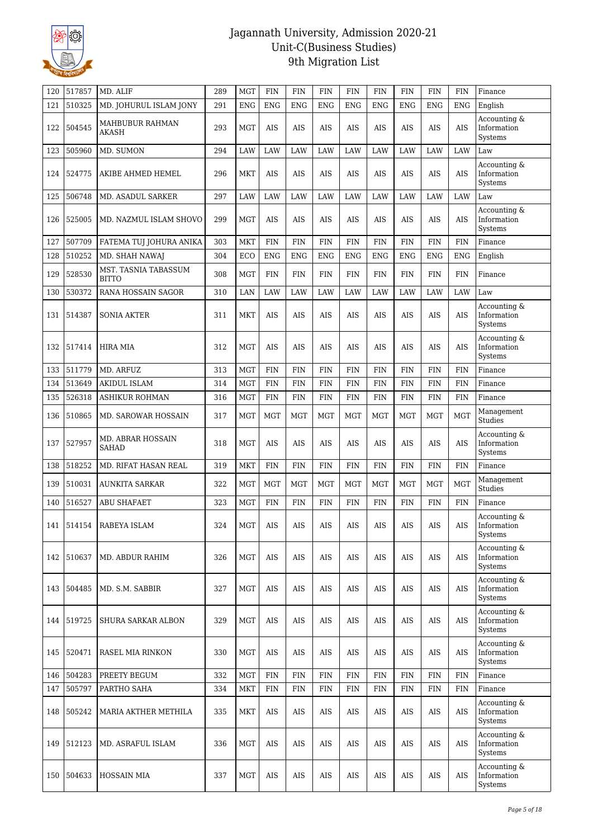

| 120 | 517857 | MD. ALIF                             | 289 | <b>MGT</b> | <b>FIN</b> | <b>FIN</b> | <b>FIN</b> | <b>FIN</b> | <b>FIN</b> | <b>FIN</b> | <b>FIN</b> | <b>FIN</b> | Finance                                |
|-----|--------|--------------------------------------|-----|------------|------------|------------|------------|------------|------------|------------|------------|------------|----------------------------------------|
| 121 | 510325 | MD. JOHURUL ISLAM JONY               | 291 | <b>ENG</b> | <b>ENG</b> | <b>ENG</b> | <b>ENG</b> | <b>ENG</b> | <b>ENG</b> | <b>ENG</b> | <b>ENG</b> | <b>ENG</b> | English                                |
| 122 | 504545 | MAHBUBUR RAHMAN<br><b>AKASH</b>      | 293 | <b>MGT</b> | AIS        | AIS        | AIS        | <b>AIS</b> | <b>AIS</b> | <b>AIS</b> | <b>AIS</b> | <b>AIS</b> | Accounting &<br>Information<br>Systems |
| 123 | 505960 | MD. SUMON                            | 294 | LAW        | LAW        | LAW        | LAW        | LAW        | LAW        | LAW        | LAW        | LAW        | Law                                    |
| 124 | 524775 | AKIBE AHMED HEMEL                    | 296 | <b>MKT</b> | AIS        | AIS        | AIS        | AIS        | AIS        | AIS        | AIS        | AIS        | Accounting &<br>Information<br>Systems |
| 125 | 506748 | <b>MD. ASADUL SARKER</b>             | 297 | LAW        | LAW        | LAW        | LAW        | LAW        | LAW        | LAW        | LAW        | LAW        | Law                                    |
| 126 | 525005 | MD. NAZMUL ISLAM SHOVO               | 299 | <b>MGT</b> | AIS        | <b>AIS</b> | AIS        | <b>AIS</b> | <b>AIS</b> | <b>AIS</b> | <b>AIS</b> | <b>AIS</b> | Accounting &<br>Information<br>Systems |
| 127 | 507709 | FATEMA TUJ JOHURA ANIKA              | 303 | <b>MKT</b> | <b>FIN</b> | <b>FIN</b> | <b>FIN</b> | <b>FIN</b> | <b>FIN</b> | <b>FIN</b> | <b>FIN</b> | <b>FIN</b> | Finance                                |
| 128 | 510252 | MD. SHAH NAWAJ                       | 304 | ECO        | <b>ENG</b> | <b>ENG</b> | <b>ENG</b> | <b>ENG</b> | <b>ENG</b> | <b>ENG</b> | ENG        | <b>ENG</b> | English                                |
| 129 | 528530 | MST. TASNIA TABASSUM<br><b>BITTO</b> | 308 | <b>MGT</b> | <b>FIN</b> | <b>FIN</b> | <b>FIN</b> | <b>FIN</b> | <b>FIN</b> | <b>FIN</b> | <b>FIN</b> | <b>FIN</b> | Finance                                |
| 130 | 530372 | <b>RANA HOSSAIN SAGOR</b>            | 310 | LAN        | <b>LAW</b> | LAW        | <b>LAW</b> | LAW        | LAW        | LAW        | LAW        | <b>LAW</b> | Law                                    |
| 131 | 514387 | <b>SONIA AKTER</b>                   | 311 | <b>MKT</b> | AIS        | AIS        | AIS        | AIS        | AIS        | AIS        | <b>AIS</b> | AIS        | Accounting &<br>Information<br>Systems |
| 132 | 517414 | <b>HIRA MIA</b>                      | 312 | <b>MGT</b> | AIS        | AIS        | AIS        | AIS        | AIS        | AIS        | <b>AIS</b> | AIS        | Accounting &<br>Information<br>Systems |
| 133 | 511779 | MD. ARFUZ                            | 313 | <b>MGT</b> | <b>FIN</b> | <b>FIN</b> | <b>FIN</b> | <b>FIN</b> | <b>FIN</b> | <b>FIN</b> | <b>FIN</b> | <b>FIN</b> | Finance                                |
| 134 | 513649 | AKIDUL ISLAM                         | 314 | <b>MGT</b> | <b>FIN</b> | <b>FIN</b> | <b>FIN</b> | <b>FIN</b> | <b>FIN</b> | <b>FIN</b> | <b>FIN</b> | <b>FIN</b> | Finance                                |
| 135 | 526318 | <b>ASHIKUR ROHMAN</b>                | 316 | <b>MGT</b> | <b>FIN</b> | <b>FIN</b> | <b>FIN</b> | <b>FIN</b> | <b>FIN</b> | <b>FIN</b> | <b>FIN</b> | <b>FIN</b> | Finance                                |
| 136 | 510865 | <b>MD. SAROWAR HOSSAIN</b>           | 317 | <b>MGT</b> | <b>MGT</b> | <b>MGT</b> | <b>MGT</b> | MGT        | <b>MGT</b> | MGT        | <b>MGT</b> | <b>MGT</b> | Management<br>Studies                  |
| 137 | 527957 | MD. ABRAR HOSSAIN<br><b>SAHAD</b>    | 318 | <b>MGT</b> | <b>AIS</b> | AIS        | AIS        | AIS        | AIS        | AIS        | AIS        | <b>AIS</b> | Accounting &<br>Information<br>Systems |
| 138 | 518252 | MD. RIFAT HASAN REAL                 | 319 | <b>MKT</b> | <b>FIN</b> | <b>FIN</b> | <b>FIN</b> | <b>FIN</b> | <b>FIN</b> | <b>FIN</b> | <b>FIN</b> | <b>FIN</b> | Finance                                |
| 139 | 510031 | <b>AUNKITA SARKAR</b>                | 322 | <b>MGT</b> | <b>MGT</b> | <b>MGT</b> | <b>MGT</b> | MGT        | MGT        | MGT        | <b>MGT</b> | <b>MGT</b> | Management<br>Studies                  |
| 140 | 516527 | <b>ABU SHAFAET</b>                   | 323 | <b>MGT</b> | <b>FIN</b> | <b>FIN</b> | <b>FIN</b> | <b>FIN</b> | <b>FIN</b> | <b>FIN</b> | <b>FIN</b> | <b>FIN</b> | Finance                                |
|     |        | 141   514154   RABEYA ISLAM          | 324 | <b>MGT</b> | AIS        | <b>AIS</b> | AIS        | <b>AIS</b> | <b>AIS</b> | <b>AIS</b> | <b>AIS</b> | AIS        | Accounting &<br>Information<br>Systems |
| 142 | 510637 | MD. ABDUR RAHIM                      | 326 | <b>MGT</b> | AIS        | <b>AIS</b> | AIS        | AIS        | AIS        | AIS        | <b>AIS</b> | <b>AIS</b> | Accounting &<br>Information<br>Systems |
| 143 | 504485 | MD. S.M. SABBIR                      | 327 | <b>MGT</b> | AIS        | AIS        | AIS        | AIS        | AIS        | AIS        | AIS        | <b>AIS</b> | Accounting &<br>Information<br>Systems |
| 144 | 519725 | SHURA SARKAR ALBON                   | 329 | <b>MGT</b> | <b>AIS</b> | <b>AIS</b> | <b>AIS</b> | <b>AIS</b> | <b>AIS</b> | <b>AIS</b> | <b>AIS</b> | <b>AIS</b> | Accounting &<br>Information<br>Systems |
| 145 | 520471 | RASEL MIA RINKON                     | 330 | <b>MGT</b> | AIS        | <b>AIS</b> | AIS        | AIS        | AIS        | AIS        | AIS        | AIS        | Accounting &<br>Information<br>Systems |
| 146 | 504283 | PREETY BEGUM                         | 332 | <b>MGT</b> | FIN        | <b>FIN</b> | <b>FIN</b> | <b>FIN</b> | <b>FIN</b> | FIN        | FIN        | <b>FIN</b> | Finance                                |
| 147 | 505797 | PARTHO SAHA                          | 334 | <b>MKT</b> | <b>FIN</b> | <b>FIN</b> | <b>FIN</b> | <b>FIN</b> | <b>FIN</b> | <b>FIN</b> | <b>FIN</b> | <b>FIN</b> | Finance                                |
| 148 | 505242 | MARIA AKTHER METHILA                 | 335 | <b>MKT</b> | AIS        | AIS        | AIS        | AIS        | AIS        | AIS        | AIS        | AIS        | Accounting &<br>Information<br>Systems |
| 149 | 512123 | MD. ASRAFUL ISLAM                    | 336 | <b>MGT</b> | AIS        | <b>AIS</b> | AIS        | <b>AIS</b> | AIS        | <b>AIS</b> | AIS        | <b>AIS</b> | Accounting &<br>Information<br>Systems |
| 150 | 504633 | HOSSAIN MIA                          | 337 | <b>MGT</b> | AIS        | AIS        | AIS        | AIS        | AIS        | AIS        | AIS        | AIS        | Accounting &<br>Information<br>Systems |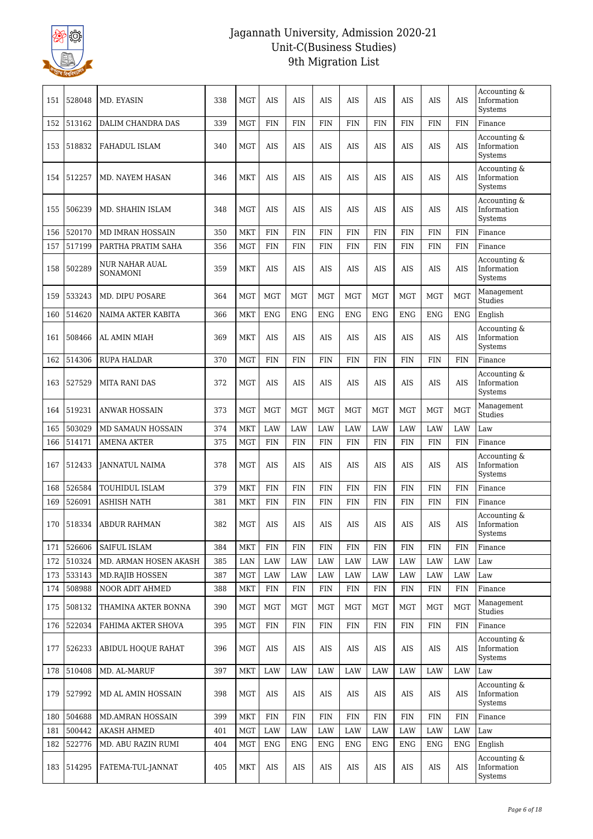

| 151 | 528048 | MD. EYASIN                 | 338 | <b>MGT</b> | AIS        | <b>AIS</b> | <b>AIS</b> | <b>AIS</b> | <b>AIS</b> | <b>AIS</b> | <b>AIS</b> | <b>AIS</b>  | Accounting &<br>Information<br>Systems |
|-----|--------|----------------------------|-----|------------|------------|------------|------------|------------|------------|------------|------------|-------------|----------------------------------------|
| 152 | 513162 | DALIM CHANDRA DAS          | 339 | <b>MGT</b> | <b>FIN</b> | FIN        | <b>FIN</b> | <b>FIN</b> | <b>FIN</b> | <b>FIN</b> | <b>FIN</b> | <b>FIN</b>  | Finance                                |
| 153 | 518832 | <b>FAHADUL ISLAM</b>       | 340 | <b>MGT</b> | AIS        | AIS        | AIS        | AIS        | <b>AIS</b> | <b>AIS</b> | <b>AIS</b> | AIS         | Accounting &<br>Information<br>Systems |
| 154 | 512257 | <b>MD. NAYEM HASAN</b>     | 346 | <b>MKT</b> | AIS        | AIS        | AIS        | AIS        | <b>AIS</b> | <b>AIS</b> | AIS        | <b>AIS</b>  | Accounting &<br>Information<br>Systems |
| 155 | 506239 | MD. SHAHIN ISLAM           | 348 | <b>MGT</b> | AIS        | <b>AIS</b> | <b>AIS</b> | <b>AIS</b> | <b>AIS</b> | <b>AIS</b> | <b>AIS</b> | <b>AIS</b>  | Accounting &<br>Information<br>Systems |
| 156 | 520170 | MD IMRAN HOSSAIN           | 350 | <b>MKT</b> | <b>FIN</b> | <b>FIN</b> | <b>FIN</b> | <b>FIN</b> | <b>FIN</b> | <b>FIN</b> | <b>FIN</b> | <b>FIN</b>  | Finance                                |
| 157 | 517199 | PARTHA PRATIM SAHA         | 356 | <b>MGT</b> | <b>FIN</b> | <b>FIN</b> | <b>FIN</b> | <b>FIN</b> | <b>FIN</b> | <b>FIN</b> | <b>FIN</b> | <b>FIN</b>  | Finance                                |
| 158 | 502289 | NUR NAHAR AUAL<br>SONAMONI | 359 | <b>MKT</b> | AIS        | <b>AIS</b> | <b>AIS</b> | <b>AIS</b> | <b>AIS</b> | <b>AIS</b> | <b>AIS</b> | <b>AIS</b>  | Accounting &<br>Information<br>Systems |
| 159 | 533243 | MD. DIPU POSARE            | 364 | MGT        | <b>MGT</b> | <b>MGT</b> | <b>MGT</b> | <b>MGT</b> | <b>MGT</b> | <b>MGT</b> | <b>MGT</b> | MGT         | Management<br>Studies                  |
| 160 | 514620 | NAIMA AKTER KABITA         | 366 | <b>MKT</b> | <b>ENG</b> | <b>ENG</b> | <b>ENG</b> | <b>ENG</b> | <b>ENG</b> | <b>ENG</b> | <b>ENG</b> | <b>ENG</b>  | English                                |
| 161 | 508466 | <b>AL AMIN MIAH</b>        | 369 | <b>MKT</b> | AIS        | AIS        | AIS        | AIS        | <b>AIS</b> | <b>AIS</b> | AIS        | <b>AIS</b>  | Accounting &<br>Information<br>Systems |
| 162 | 514306 | <b>RUPA HALDAR</b>         | 370 | <b>MGT</b> | <b>FIN</b> | <b>FIN</b> | <b>FIN</b> | <b>FIN</b> | <b>FIN</b> | <b>FIN</b> | <b>FIN</b> | <b>FIN</b>  | Finance                                |
| 163 | 527529 | MITA RANI DAS              | 372 | <b>MGT</b> | AIS        | <b>AIS</b> | AIS        | <b>AIS</b> | AIS        | AIS        | AIS        | <b>AIS</b>  | Accounting &<br>Information<br>Systems |
| 164 | 519231 | <b>ANWAR HOSSAIN</b>       | 373 | <b>MGT</b> | <b>MGT</b> | MGT        | <b>MGT</b> | <b>MGT</b> | <b>MGT</b> | <b>MGT</b> | <b>MGT</b> | <b>MGT</b>  | Management<br>Studies                  |
| 165 | 503029 | MD SAMAUN HOSSAIN          | 374 | <b>MKT</b> | LAW        | LAW        | LAW        | LAW        | LAW        | LAW        | LAW        | LAW         | Law                                    |
| 166 | 514171 | AMENA AKTER                | 375 | MGT        | <b>FIN</b> | <b>FIN</b> | <b>FIN</b> | <b>FIN</b> | <b>FIN</b> | <b>FIN</b> | <b>FIN</b> | <b>FIN</b>  | Finance                                |
| 167 | 512433 | <b>JANNATUL NAIMA</b>      | 378 | <b>MGT</b> | AIS        | AIS        | AIS        | AIS        | <b>AIS</b> | <b>AIS</b> | AIS        | <b>AIS</b>  | Accounting &<br>Information<br>Systems |
| 168 | 526584 | TOUHIDUL ISLAM             | 379 | <b>MKT</b> | <b>FIN</b> | <b>FIN</b> | <b>FIN</b> | <b>FIN</b> | <b>FIN</b> | <b>FIN</b> | <b>FIN</b> | <b>FIN</b>  | Finance                                |
| 169 | 526091 | ASHISH NATH                | 381 | <b>MKT</b> | <b>FIN</b> | <b>FIN</b> | <b>FIN</b> | <b>FIN</b> | <b>FIN</b> | <b>FIN</b> | <b>FIN</b> | <b>FIN</b>  | Finance                                |
| 170 |        | 518334   ABDUR RAHMAN      | 382 | <b>MGT</b> | AIS        | <b>AIS</b> | <b>AIS</b> | <b>AIS</b> | <b>AIS</b> | <b>AIS</b> | <b>AIS</b> | <b>AIS</b>  | Accounting &<br>Information<br>Systems |
| 171 | 526606 | SAIFUL ISLAM               | 384 | <b>MKT</b> | <b>FIN</b> | <b>FIN</b> | <b>FIN</b> | <b>FIN</b> | <b>FIN</b> | <b>FIN</b> | <b>FIN</b> | <b>FIN</b>  | Finance                                |
| 172 | 510324 | MD. ARMAN HOSEN AKASH      | 385 | LAN        | <b>LAW</b> | LAW        | <b>LAW</b> | LAW        | LAW        | LAW        | LAW        | LAW         | Law                                    |
| 173 | 533143 | <b>MD.RAJIB HOSSEN</b>     | 387 | <b>MGT</b> | LAW        | LAW        | LAW        | LAW        | LAW        | LAW        | LAW        | LAW         | Law                                    |
| 174 | 508988 | NOOR ADIT AHMED            | 388 | <b>MKT</b> | <b>FIN</b> | <b>FIN</b> | <b>FIN</b> | <b>FIN</b> | <b>FIN</b> | <b>FIN</b> | <b>FIN</b> | <b>FIN</b>  | Finance                                |
| 175 | 508132 | THAMINA AKTER BONNA        | 390 | MGT        | <b>MGT</b> | MGT        | <b>MGT</b> | MGT        | <b>MGT</b> | <b>MGT</b> | MGT        | <b>MGT</b>  | Management<br>Studies                  |
| 176 | 522034 | FAHIMA AKTER SHOVA         | 395 | <b>MGT</b> | <b>FIN</b> | <b>FIN</b> | <b>FIN</b> | <b>FIN</b> | FIN        | <b>FIN</b> | <b>FIN</b> | <b>FIN</b>  | Finance                                |
| 177 | 526233 | ABIDUL HOQUE RAHAT         | 396 | <b>MGT</b> | AIS        | AIS        | AIS        | AIS        | <b>AIS</b> | AIS        | AIS        | AIS         | Accounting &<br>Information<br>Systems |
| 178 | 510408 | MD. AL-MARUF               | 397 | MKT        | LAW        | LAW        | LAW        | LAW        | LAW        | LAW        | LAW        | LAW         | Law                                    |
| 179 | 527992 | MD AL AMIN HOSSAIN         | 398 | <b>MGT</b> | AIS        | AIS        | AIS        | <b>AIS</b> | AIS        | AIS        | AIS        | AIS         | Accounting &<br>Information<br>Systems |
| 180 | 504688 | MD.AMRAN HOSSAIN           | 399 | <b>MKT</b> | <b>FIN</b> | <b>FIN</b> | <b>FIN</b> | <b>FIN</b> | FIN        | <b>FIN</b> | <b>FIN</b> | ${\rm FIN}$ | Finance                                |
| 181 | 500442 | <b>AKASH AHMED</b>         | 401 | <b>MGT</b> | <b>LAW</b> | LAW        | <b>LAW</b> | <b>LAW</b> | <b>LAW</b> | <b>LAW</b> | LAW        | LAW         | Law                                    |
| 182 | 522776 | MD. ABU RAZIN RUMI         | 404 | MGT        | <b>ENG</b> | ENG        | <b>ENG</b> | <b>ENG</b> | <b>ENG</b> | <b>ENG</b> | <b>ENG</b> | <b>ENG</b>  | English                                |
| 183 | 514295 | FATEMA-TUL-JANNAT          | 405 | <b>MKT</b> | AIS        | AIS        | AIS        | <b>AIS</b> | AIS        | AIS        | AIS        | AIS         | Accounting &<br>Information<br>Systems |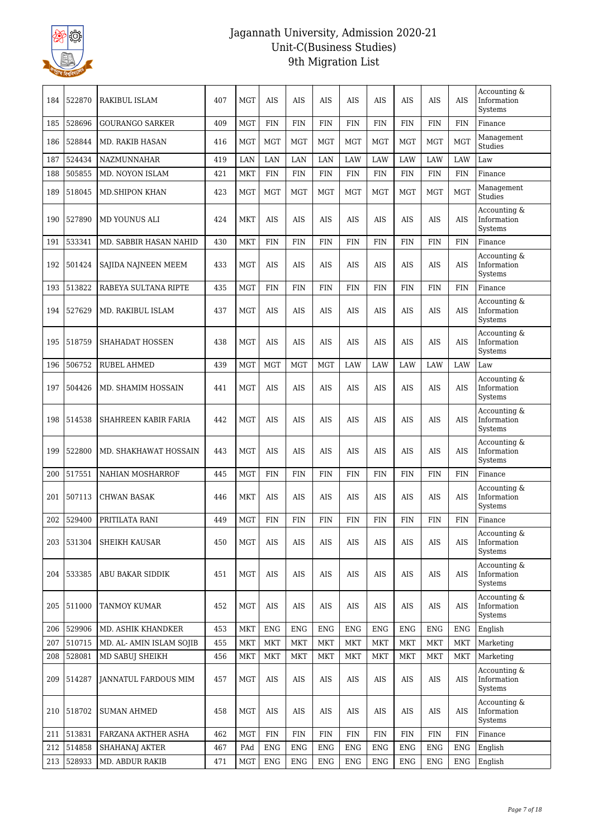

| 184 | 522870 | RAKIBUL ISLAM            | 407 | <b>MGT</b> | AIS        | AIS        | AIS        | <b>AIS</b> | <b>AIS</b> | <b>AIS</b> | <b>AIS</b> | <b>AIS</b> | Accounting &<br>Information<br>Systems |
|-----|--------|--------------------------|-----|------------|------------|------------|------------|------------|------------|------------|------------|------------|----------------------------------------|
| 185 | 528696 | <b>GOURANGO SARKER</b>   | 409 | <b>MGT</b> | <b>FIN</b> | <b>FIN</b> | <b>FIN</b> | <b>FIN</b> | <b>FIN</b> | <b>FIN</b> | <b>FIN</b> | <b>FIN</b> | Finance                                |
| 186 | 528844 | <b>MD. RAKIB HASAN</b>   | 416 | <b>MGT</b> | <b>MGT</b> | <b>MGT</b> | <b>MGT</b> | MGT        | <b>MGT</b> | <b>MGT</b> | <b>MGT</b> | <b>MGT</b> | Management<br>Studies                  |
| 187 | 524434 | NAZMUNNAHAR              | 419 | LAN        | LAN        | LAN        | LAN        | LAW        | LAW        | LAW        | LAW        | LAW        | Law                                    |
| 188 | 505855 | MD. NOYON ISLAM          | 421 | <b>MKT</b> | <b>FIN</b> | <b>FIN</b> | <b>FIN</b> | <b>FIN</b> | <b>FIN</b> | <b>FIN</b> | <b>FIN</b> | <b>FIN</b> | Finance                                |
| 189 | 518045 | <b>MD.SHIPON KHAN</b>    | 423 | <b>MGT</b> | <b>MGT</b> | <b>MGT</b> | <b>MGT</b> | <b>MGT</b> | <b>MGT</b> | <b>MGT</b> | <b>MGT</b> | <b>MGT</b> | Management<br>Studies                  |
| 190 | 527890 | <b>MD YOUNUS ALI</b>     | 424 | <b>MKT</b> | AIS        | AIS        | AIS        | <b>AIS</b> | <b>AIS</b> | <b>AIS</b> | <b>AIS</b> | <b>AIS</b> | Accounting &<br>Information<br>Systems |
| 191 | 533341 | MD. SABBIR HASAN NAHID   | 430 | <b>MKT</b> | <b>FIN</b> | <b>FIN</b> | <b>FIN</b> | <b>FIN</b> | FIN        | <b>FIN</b> | <b>FIN</b> | <b>FIN</b> | Finance                                |
| 192 | 501424 | SAJIDA NAJNEEN MEEM      | 433 | <b>MGT</b> | <b>AIS</b> | <b>AIS</b> | <b>AIS</b> | <b>AIS</b> | <b>AIS</b> | <b>AIS</b> | <b>AIS</b> | AIS        | Accounting &<br>Information<br>Systems |
| 193 | 513822 | RABEYA SULTANA RIPTE     | 435 | <b>MGT</b> | <b>FIN</b> | <b>FIN</b> | <b>FIN</b> | <b>FIN</b> | <b>FIN</b> | <b>FIN</b> | <b>FIN</b> | <b>FIN</b> | Finance                                |
| 194 | 527629 | MD. RAKIBUL ISLAM        | 437 | <b>MGT</b> | <b>AIS</b> | AIS        | <b>AIS</b> | <b>AIS</b> | <b>AIS</b> | <b>AIS</b> | <b>AIS</b> | AIS        | Accounting &<br>Information<br>Systems |
| 195 | 518759 | <b>SHAHADAT HOSSEN</b>   | 438 | <b>MGT</b> | <b>AIS</b> | AIS        | <b>AIS</b> | AIS        | <b>AIS</b> | <b>AIS</b> | <b>AIS</b> | AIS        | Accounting &<br>Information<br>Systems |
| 196 | 506752 | <b>RUBEL AHMED</b>       | 439 | <b>MGT</b> | <b>MGT</b> | <b>MGT</b> | <b>MGT</b> | LAW        | LAW        | LAW        | LAW        | LAW        | Law                                    |
| 197 | 504426 | MD. SHAMIM HOSSAIN       | 441 | <b>MGT</b> | <b>AIS</b> | <b>AIS</b> | <b>AIS</b> | <b>AIS</b> | <b>AIS</b> | <b>AIS</b> | <b>AIS</b> | <b>AIS</b> | Accounting &<br>Information<br>Systems |
| 198 | 514538 | SHAHREEN KABIR FARIA     | 442 | <b>MGT</b> | <b>AIS</b> | <b>AIS</b> | <b>AIS</b> | AIS        | <b>AIS</b> | <b>AIS</b> | <b>AIS</b> | AIS        | Accounting &<br>Information<br>Systems |
| 199 | 522800 | MD. SHAKHAWAT HOSSAIN    | 443 | <b>MGT</b> | AIS        | AIS        | AIS        | AIS        | <b>AIS</b> | <b>AIS</b> | <b>AIS</b> | <b>AIS</b> | Accounting &<br>Information<br>Systems |
| 200 | 517551 | NAHIAN MOSHARROF         | 445 | <b>MGT</b> | <b>FIN</b> | <b>FIN</b> | <b>FIN</b> | <b>FIN</b> | <b>FIN</b> | <b>FIN</b> | <b>FIN</b> | <b>FIN</b> | Finance                                |
| 201 | 507113 | <b>CHWAN BASAK</b>       | 446 | <b>MKT</b> | AIS        | AIS        | <b>AIS</b> | <b>AIS</b> | <b>AIS</b> | <b>AIS</b> | <b>AIS</b> | <b>AIS</b> | Accounting &<br>Information<br>Systems |
| 202 | 529400 | PRITILATA RANI           | 449 | <b>MGT</b> | <b>FIN</b> | <b>FIN</b> | <b>FIN</b> | <b>FIN</b> | <b>FIN</b> | <b>FIN</b> | <b>FIN</b> | <b>FIN</b> | Finance                                |
| 203 | 531304 | SHEIKH KAUSAR            | 450 | <b>MGT</b> | AIS        | AIS        | AIS        | AIS        | AIS        | <b>AIS</b> | AIS        | AIS        | Accounting &<br>Information<br>Systems |
| 204 | 533385 | ABU BAKAR SIDDIK         | 451 | <b>MGT</b> | AIS        | AIS        | AIS        | AIS        | AIS        | AIS        | AIS        | AIS        | Accounting &<br>Information<br>Systems |
| 205 | 511000 | TANMOY KUMAR             | 452 | <b>MGT</b> | AIS        | <b>AIS</b> | AIS        | AIS        | AIS        | AIS        | AIS        | <b>AIS</b> | Accounting &<br>Information<br>Systems |
| 206 | 529906 | MD. ASHIK KHANDKER       | 453 | MKT        | <b>ENG</b> | <b>ENG</b> | <b>ENG</b> | <b>ENG</b> | <b>ENG</b> | <b>ENG</b> | <b>ENG</b> | <b>ENG</b> | English                                |
| 207 | 510715 | MD. AL- AMIN ISLAM SOJIB | 455 | <b>MKT</b> | <b>MKT</b> | <b>MKT</b> | <b>MKT</b> | <b>MKT</b> | <b>MKT</b> | <b>MKT</b> | <b>MKT</b> | <b>MKT</b> | Marketing                              |
| 208 | 528081 | MD SABUJ SHEIKH          | 456 | <b>MKT</b> | <b>MKT</b> | MKT        | MKT        | <b>MKT</b> | <b>MKT</b> | <b>MKT</b> | MKT        | MKT        | Marketing                              |
| 209 | 514287 | JANNATUL FARDOUS MIM     | 457 | <b>MGT</b> | AIS        | <b>AIS</b> | AIS        | AIS        | AIS        | AIS        | AIS        | <b>AIS</b> | Accounting &<br>Information<br>Systems |
| 210 | 518702 | <b>SUMAN AHMED</b>       | 458 | <b>MGT</b> | AIS        | AIS        | AIS        | AIS        | AIS        | <b>AIS</b> | <b>AIS</b> | AIS        | Accounting &<br>Information<br>Systems |
| 211 | 513831 | FARZANA AKTHER ASHA      | 462 | MGT        | <b>FIN</b> | <b>FIN</b> | <b>FIN</b> | <b>FIN</b> | <b>FIN</b> | <b>FIN</b> | <b>FIN</b> | <b>FIN</b> | Finance                                |
| 212 | 514858 | SHAHANAJ AKTER           | 467 | PAd        | <b>ENG</b> | <b>ENG</b> | <b>ENG</b> | <b>ENG</b> | <b>ENG</b> | <b>ENG</b> | <b>ENG</b> | <b>ENG</b> | English                                |
| 213 | 528933 | MD. ABDUR RAKIB          | 471 | MGT        | <b>ENG</b> | ENG        | ENG        | <b>ENG</b> | <b>ENG</b> | <b>ENG</b> | <b>ENG</b> | <b>ENG</b> | English                                |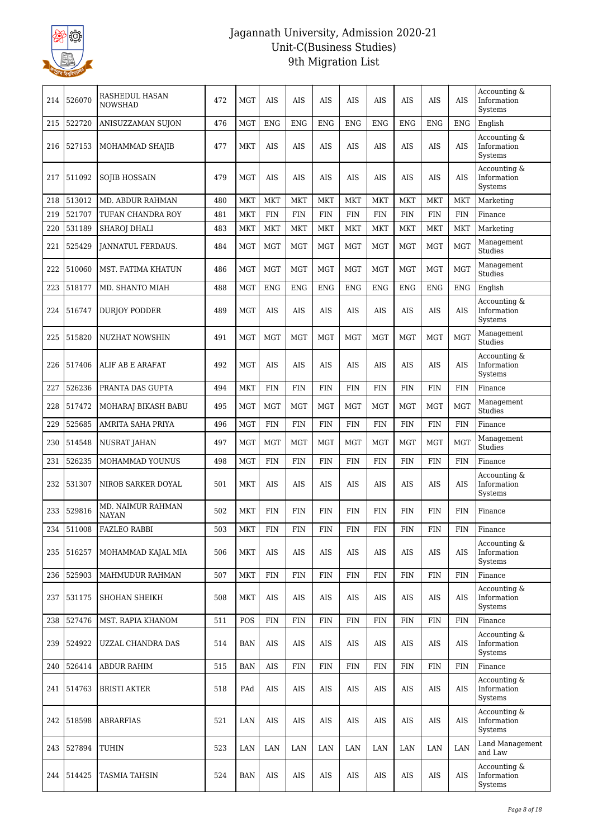

| 214 | 526070 | RASHEDUL HASAN<br><b>NOWSHAD</b>  | 472 | <b>MGT</b> | AIS         | AIS         | AIS         | AIS         | AIS         | AIS         | AIS         | <b>AIS</b> | Accounting &<br>Information<br>Systems |
|-----|--------|-----------------------------------|-----|------------|-------------|-------------|-------------|-------------|-------------|-------------|-------------|------------|----------------------------------------|
| 215 | 522720 | ANISUZZAMAN SUJON                 | 476 | <b>MGT</b> | <b>ENG</b>  | <b>ENG</b>  | <b>ENG</b>  | <b>ENG</b>  | <b>ENG</b>  | <b>ENG</b>  | <b>ENG</b>  | <b>ENG</b> | English                                |
| 216 | 527153 | MOHAMMAD SHAJIB                   | 477 | <b>MKT</b> | <b>AIS</b>  | <b>AIS</b>  | AIS         | <b>AIS</b>  | <b>AIS</b>  | <b>AIS</b>  | <b>AIS</b>  | AIS        | Accounting &<br>Information<br>Systems |
| 217 | 511092 | SOJIB HOSSAIN                     | 479 | <b>MGT</b> | AIS         | AIS         | AIS         | AIS         | AIS         | AIS         | <b>AIS</b>  | AIS        | Accounting &<br>Information<br>Systems |
| 218 | 513012 | <b>MD. ABDUR RAHMAN</b>           | 480 | <b>MKT</b> | <b>MKT</b>  | <b>MKT</b>  | <b>MKT</b>  | <b>MKT</b>  | <b>MKT</b>  | <b>MKT</b>  | <b>MKT</b>  | <b>MKT</b> | Marketing                              |
| 219 | 521707 | TUFAN CHANDRA ROY                 | 481 | <b>MKT</b> | <b>FIN</b>  | <b>FIN</b>  | <b>FIN</b>  | <b>FIN</b>  | <b>FIN</b>  | <b>FIN</b>  | <b>FIN</b>  | <b>FIN</b> | Finance                                |
| 220 | 531189 | <b>SHAROJ DHALI</b>               | 483 | <b>MKT</b> | <b>MKT</b>  | <b>MKT</b>  | <b>MKT</b>  | <b>MKT</b>  | <b>MKT</b>  | <b>MKT</b>  | <b>MKT</b>  | <b>MKT</b> | Marketing                              |
| 221 | 525429 | JANNATUL FERDAUS.                 | 484 | <b>MGT</b> | <b>MGT</b>  | <b>MGT</b>  | MGT         | <b>MGT</b>  | <b>MGT</b>  | <b>MGT</b>  | <b>MGT</b>  | <b>MGT</b> | Management<br>Studies                  |
| 222 | 510060 | MST. FATIMA KHATUN                | 486 | <b>MGT</b> | <b>MGT</b>  | MGT         | <b>MGT</b>  | MGT         | <b>MGT</b>  | <b>MGT</b>  | <b>MGT</b>  | <b>MGT</b> | Management<br><b>Studies</b>           |
| 223 | 518177 | MD. SHANTO MIAH                   | 488 | <b>MGT</b> | <b>ENG</b>  | <b>ENG</b>  | <b>ENG</b>  | <b>ENG</b>  | <b>ENG</b>  | <b>ENG</b>  | <b>ENG</b>  | <b>ENG</b> | English                                |
| 224 | 516747 | <b>DURJOY PODDER</b>              | 489 | <b>MGT</b> | <b>AIS</b>  | AIS         | <b>AIS</b>  | <b>AIS</b>  | <b>AIS</b>  | <b>AIS</b>  | <b>AIS</b>  | <b>AIS</b> | Accounting &<br>Information<br>Systems |
| 225 | 515820 | NUZHAT NOWSHIN                    | 491 | <b>MGT</b> | <b>MGT</b>  | <b>MGT</b>  | <b>MGT</b>  | <b>MGT</b>  | <b>MGT</b>  | <b>MGT</b>  | <b>MGT</b>  | <b>MGT</b> | Management<br>Studies                  |
| 226 | 517406 | ALIF AB E ARAFAT                  | 492 | <b>MGT</b> | AIS         | AIS         | <b>AIS</b>  | AIS         | <b>AIS</b>  | <b>AIS</b>  | <b>AIS</b>  | <b>AIS</b> | Accounting &<br>Information<br>Systems |
| 227 | 526236 | PRANTA DAS GUPTA                  | 494 | MKT        | <b>FIN</b>  | <b>FIN</b>  | <b>FIN</b>  | <b>FIN</b>  | FIN         | <b>FIN</b>  | <b>FIN</b>  | <b>FIN</b> | Finance                                |
| 228 | 517472 | MOHARAJ BIKASH BABU               | 495 | <b>MGT</b> | MGT         | <b>MGT</b>  | <b>MGT</b>  | MGT         | MGT         | <b>MGT</b>  | <b>MGT</b>  | <b>MGT</b> | Management<br>Studies                  |
| 229 | 525685 | AMRITA SAHA PRIYA                 | 496 | <b>MGT</b> | <b>FIN</b>  | <b>FIN</b>  | <b>FIN</b>  | <b>FIN</b>  | <b>FIN</b>  | <b>FIN</b>  | <b>FIN</b>  | <b>FIN</b> | Finance                                |
| 230 | 514548 | <b>NUSRAT JAHAN</b>               | 497 | <b>MGT</b> | <b>MGT</b>  | <b>MGT</b>  | <b>MGT</b>  | <b>MGT</b>  | <b>MGT</b>  | <b>MGT</b>  | <b>MGT</b>  | <b>MGT</b> | Management<br>Studies                  |
| 231 | 526235 | MOHAMMAD YOUNUS                   | 498 | <b>MGT</b> | <b>FIN</b>  | <b>FIN</b>  | <b>FIN</b>  | <b>FIN</b>  | FIN         | <b>FIN</b>  | <b>FIN</b>  | <b>FIN</b> | Finance                                |
| 232 | 531307 | NIROB SARKER DOYAL                | 501 | <b>MKT</b> | <b>AIS</b>  | AIS         | AIS         | AIS         | AIS         | <b>AIS</b>  | AIS         | AIS        | Accounting &<br>Information<br>Systems |
| 233 | 529816 | MD. NAIMUR RAHMAN<br><b>NAYAN</b> | 502 | <b>MKT</b> | <b>FIN</b>  | <b>FIN</b>  | <b>FIN</b>  | <b>FIN</b>  | <b>FIN</b>  | <b>FIN</b>  | <b>FIN</b>  | <b>FIN</b> | Finance                                |
| 234 | 511008 | <b>FAZLEO RABBI</b>               | 503 | MKT        | ${\rm FIN}$ | ${\rm FIN}$ | ${\rm FIN}$ | ${\rm FIN}$ | ${\rm FIN}$ | ${\rm FIN}$ | ${\rm FIN}$ | FIN        | Finance                                |
| 235 | 516257 | MOHAMMAD KAJAL MIA                | 506 | <b>MKT</b> | AIS         | <b>AIS</b>  | AIS         | <b>AIS</b>  | <b>AIS</b>  | <b>AIS</b>  | <b>AIS</b>  | <b>AIS</b> | Accounting &<br>Information<br>Systems |
| 236 | 525903 | MAHMUDUR RAHMAN                   | 507 | <b>MKT</b> | <b>FIN</b>  | <b>FIN</b>  | <b>FIN</b>  | <b>FIN</b>  | <b>FIN</b>  | <b>FIN</b>  | <b>FIN</b>  | <b>FIN</b> | Finance                                |
| 237 | 531175 | <b>SHOHAN SHEIKH</b>              | 508 | <b>MKT</b> | AIS         | AIS         | AIS         | AIS         | AIS         | AIS         | AIS         | AIS        | Accounting &<br>Information<br>Systems |
| 238 | 527476 | MST. RAPIA KHANOM                 | 511 | POS        | <b>FIN</b>  | <b>FIN</b>  | <b>FIN</b>  | <b>FIN</b>  | <b>FIN</b>  | <b>FIN</b>  | <b>FIN</b>  | <b>FIN</b> | Finance                                |
| 239 | 524922 | UZZAL CHANDRA DAS                 | 514 | <b>BAN</b> | AIS         | AIS         | AIS         | AIS         | AIS         | <b>AIS</b>  | <b>AIS</b>  | AIS        | Accounting &<br>Information<br>Systems |
| 240 | 526414 | ABDUR RAHIM                       | 515 | <b>BAN</b> | AIS         | <b>FIN</b>  | <b>FIN</b>  | <b>FIN</b>  | <b>FIN</b>  | <b>FIN</b>  | <b>FIN</b>  | <b>FIN</b> | Finance                                |
| 241 | 514763 | <b>BRISTI AKTER</b>               | 518 | PAd        | AIS         | AIS         | AIS         | AIS         | AIS         | AIS         | AIS         | <b>AIS</b> | Accounting &<br>Information<br>Systems |
| 242 | 518598 | <b>ABRARFIAS</b>                  | 521 | LAN        | <b>AIS</b>  | <b>AIS</b>  | <b>AIS</b>  | <b>AIS</b>  | <b>AIS</b>  | <b>AIS</b>  | <b>AIS</b>  | <b>AIS</b> | Accounting &<br>Information<br>Systems |
| 243 | 527894 | TUHIN                             | 523 | LAN        | LAN         | LAN         | LAN         | LAN         | LAN         | LAN         | LAN         | LAN        | Land Management<br>and Law             |
| 244 | 514425 | <b>TASMIA TAHSIN</b>              | 524 | <b>BAN</b> | AIS         | AIS         | AIS         | AIS         | AIS         | AIS         | AIS         | <b>AIS</b> | Accounting &<br>Information<br>Systems |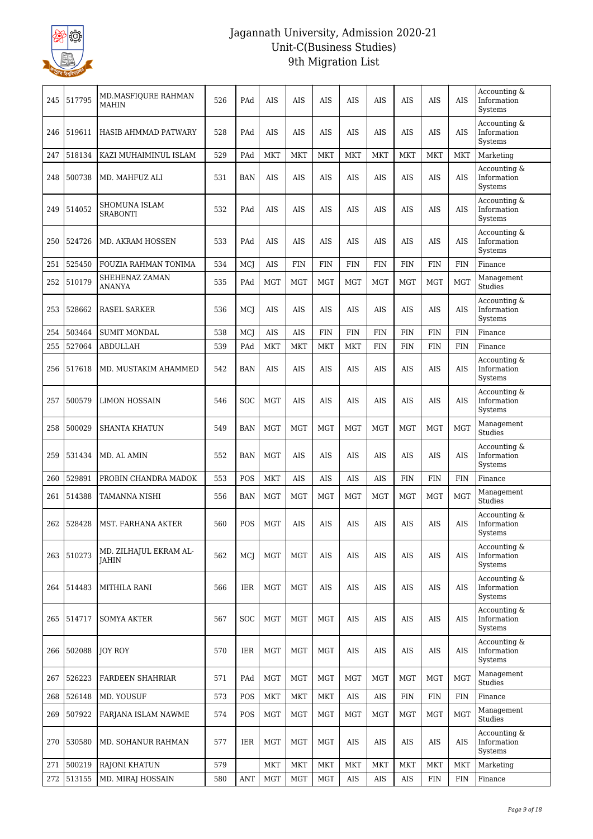

| 245 | 517795 | MD.MASFIQURE RAHMAN<br>MAHIN           | 526 | PAd                              | AIS        | AIS        | AIS        | AIS        | AIS        | AIS        | <b>AIS</b> | <b>AIS</b> | Accounting &<br>Information<br>Systems |
|-----|--------|----------------------------------------|-----|----------------------------------|------------|------------|------------|------------|------------|------------|------------|------------|----------------------------------------|
| 246 | 519611 | HASIB AHMMAD PATWARY                   | 528 | PAd                              | AIS        | AIS        | AIS        | AIS        | AIS        | AIS        | AIS        | AIS        | Accounting &<br>Information<br>Systems |
| 247 | 518134 | KAZI MUHAIMINUL ISLAM                  | 529 | PAd                              | <b>MKT</b> | <b>MKT</b> | <b>MKT</b> | <b>MKT</b> | MKT        | <b>MKT</b> | <b>MKT</b> | <b>MKT</b> | Marketing                              |
| 248 | 500738 | MD. MAHFUZ ALI                         | 531 | <b>BAN</b>                       | AIS        | AIS        | AIS        | <b>AIS</b> | <b>AIS</b> | <b>AIS</b> | <b>AIS</b> | <b>AIS</b> | Accounting &<br>Information<br>Systems |
| 249 | 514052 | SHOMUNA ISLAM<br><b>SRABONTI</b>       | 532 | PAd                              | <b>AIS</b> | AIS        | AIS        | <b>AIS</b> | <b>AIS</b> | <b>AIS</b> | <b>AIS</b> | <b>AIS</b> | Accounting &<br>Information<br>Systems |
| 250 | 524726 | MD. AKRAM HOSSEN                       | 533 | PAd                              | AIS        | AIS        | AIS        | AIS        | AIS        | AIS        | AIS        | AIS        | Accounting &<br>Information<br>Systems |
| 251 | 525450 | FOUZIA RAHMAN TONIMA                   | 534 | MCJ                              | AIS        | <b>FIN</b> | <b>FIN</b> | <b>FIN</b> | <b>FIN</b> | <b>FIN</b> | <b>FIN</b> | <b>FIN</b> | Finance                                |
| 252 | 510179 | SHEHENAZ ZAMAN<br>ANANYA               | 535 | PAd                              | <b>MGT</b> | <b>MGT</b> | <b>MGT</b> | <b>MGT</b> | <b>MGT</b> | <b>MGT</b> | <b>MGT</b> | <b>MGT</b> | Management<br>Studies                  |
| 253 | 528662 | <b>RASEL SARKER</b>                    | 536 | MCI                              | AIS        | AIS        | AIS        | AIS        | AIS        | AIS        | AIS        | <b>AIS</b> | Accounting &<br>Information<br>Systems |
| 254 | 503464 | <b>SUMIT MONDAL</b>                    | 538 | MCJ                              | AIS        | AIS        | <b>FIN</b> | <b>FIN</b> | <b>FIN</b> | <b>FIN</b> | <b>FIN</b> | <b>FIN</b> | Finance                                |
| 255 | 527064 | ABDULLAH                               | 539 | PAd                              | MKT        | <b>MKT</b> | <b>MKT</b> | <b>MKT</b> | <b>FIN</b> | <b>FIN</b> | <b>FIN</b> | <b>FIN</b> | Finance                                |
| 256 | 517618 | MD. MUSTAKIM AHAMMED                   | 542 | <b>BAN</b>                       | <b>AIS</b> | <b>AIS</b> | AIS        | <b>AIS</b> | AIS        | <b>AIS</b> | <b>AIS</b> | <b>AIS</b> | Accounting &<br>Information<br>Systems |
| 257 | 500579 | LIMON HOSSAIN                          | 546 | <b>SOC</b>                       | MGT        | AIS        | AIS        | <b>AIS</b> | <b>AIS</b> | <b>AIS</b> | <b>AIS</b> | <b>AIS</b> | Accounting &<br>Information<br>Systems |
| 258 | 500029 | <b>SHANTA KHATUN</b>                   | 549 | <b>BAN</b>                       | <b>MGT</b> | <b>MGT</b> | <b>MGT</b> | <b>MGT</b> | <b>MGT</b> | <b>MGT</b> | <b>MGT</b> | <b>MGT</b> | Management<br>Studies                  |
| 259 | 531434 | MD. AL AMIN                            | 552 | <b>BAN</b>                       | <b>MGT</b> | AIS        | AIS        | AIS        | AIS        | AIS        | <b>AIS</b> | <b>AIS</b> | Accounting &<br>Information<br>Systems |
| 260 | 529891 | PROBIN CHANDRA MADOK                   | 553 | POS                              | <b>MKT</b> | <b>AIS</b> | <b>AIS</b> | <b>AIS</b> | <b>AIS</b> | <b>FIN</b> | <b>FIN</b> | <b>FIN</b> | Finance                                |
| 261 | 514388 | TAMANNA NISHI                          | 556 | <b>BAN</b>                       | MGT        | MGT        | MGT        | <b>MGT</b> | <b>MGT</b> | <b>MGT</b> | <b>MGT</b> | <b>MGT</b> | Management<br>Studies                  |
| 262 | 528428 | MST. FARHANA AKTER                     | 560 | POS                              | <b>MGT</b> | AIS        | AIS        | AIS        | AIS        | AIS        | AIS        | AIS        | Accounting &<br>Information<br>Systems |
| 263 | 510273 | MD. ZILHAJUL EKRAM AL-<br><b>JAHIN</b> | 562 | MCJ                              | <b>MGT</b> | <b>MGT</b> | <b>AIS</b> | <b>AIS</b> | <b>AIS</b> | <b>AIS</b> | <b>AIS</b> | <b>AIS</b> | Accounting &<br>Information<br>Systems |
| 264 | 514483 | MITHILA RANI                           | 566 | <b>IER</b>                       | <b>MGT</b> | <b>MGT</b> | AIS        | AIS        | AIS        | <b>AIS</b> | <b>AIS</b> | AIS        | Accounting &<br>Information<br>Systems |
| 265 | 514717 | <b>SOMYA AKTER</b>                     | 567 | <b>SOC</b>                       | <b>MGT</b> | <b>MGT</b> | MGT        | <b>AIS</b> | AIS        | AIS        | <b>AIS</b> | AIS        | Accounting &<br>Information<br>Systems |
| 266 | 502088 | <b>JOY ROY</b>                         | 570 | IER                              | <b>MGT</b> | <b>MGT</b> | MGT        | AIS        | AIS        | AIS        | <b>AIS</b> | <b>AIS</b> | Accounting &<br>Information<br>Systems |
| 267 | 526223 | FARDEEN SHAHRIAR                       | 571 | PAd                              | MGT        | <b>MGT</b> | MGT        | MGT        | MGT        | MGT        | MGT        | <b>MGT</b> | Management<br>Studies                  |
| 268 | 526148 | MD. YOUSUF                             | 573 | POS                              | MKT        | <b>MKT</b> | <b>MKT</b> | <b>AIS</b> | AIS        | <b>FIN</b> | <b>FIN</b> | <b>FIN</b> | Finance                                |
| 269 | 507922 | FARJANA ISLAM NAWME                    | 574 | POS                              | <b>MGT</b> | <b>MGT</b> | MGT        | MGT        | MGT        | <b>MGT</b> | MGT        | <b>MGT</b> | Management<br>Studies                  |
| 270 | 530580 | MD. SOHANUR RAHMAN                     | 577 | IER                              | <b>MGT</b> | <b>MGT</b> | <b>MGT</b> | AIS        | AIS        | AIS        | AIS        | AIS        | Accounting &<br>Information<br>Systems |
| 271 | 500219 | RAJONI KHATUN                          | 579 |                                  | MKT        | <b>MKT</b> | <b>MKT</b> | <b>MKT</b> | MKT        | MKT        | <b>MKT</b> | <b>MKT</b> | Marketing                              |
| 272 | 513155 | MD. MIRAJ HOSSAIN                      | 580 | $\mathbf{A}\mathbf{N}\mathbf{T}$ | <b>MGT</b> | <b>MGT</b> | <b>MGT</b> | <b>AIS</b> | AIS        | AIS        | FIN        | <b>FIN</b> | Finance                                |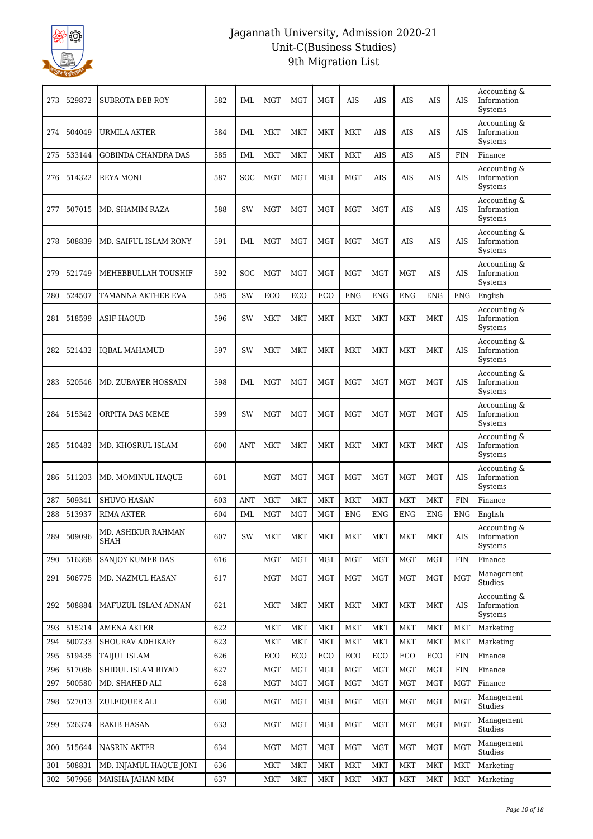

| 273 | 529872 | <b>SUBROTA DEB ROY</b>            | 582 | IML        | <b>MGT</b> | <b>MGT</b> | <b>MGT</b> | AIS        | AIS        | AIS        | <b>AIS</b> | <b>AIS</b> | Accounting &<br>Information<br>Systems |
|-----|--------|-----------------------------------|-----|------------|------------|------------|------------|------------|------------|------------|------------|------------|----------------------------------------|
| 274 | 504049 | URMILA AKTER                      | 584 | <b>IML</b> | <b>MKT</b> | <b>MKT</b> | <b>MKT</b> | <b>MKT</b> | AIS        | AIS        | AIS        | <b>AIS</b> | Accounting &<br>Information<br>Systems |
| 275 | 533144 | <b>GOBINDA CHANDRA DAS</b>        | 585 | <b>IML</b> | <b>MKT</b> | <b>MKT</b> | <b>MKT</b> | <b>MKT</b> | <b>AIS</b> | <b>AIS</b> | <b>AIS</b> | <b>FIN</b> | Finance                                |
| 276 | 514322 | <b>REYA MONI</b>                  | 587 | <b>SOC</b> | MGT        | <b>MGT</b> | <b>MGT</b> | <b>MGT</b> | AIS        | AIS        | <b>AIS</b> | <b>AIS</b> | Accounting &<br>Information<br>Systems |
| 277 | 507015 | MD. SHAMIM RAZA                   | 588 | SW         | <b>MGT</b> | <b>MGT</b> | <b>MGT</b> | <b>MGT</b> | <b>MGT</b> | AIS        | AIS        | <b>AIS</b> | Accounting &<br>Information<br>Systems |
| 278 | 508839 | MD. SAIFUL ISLAM RONY             | 591 | <b>IML</b> | <b>MGT</b> | <b>MGT</b> | <b>MGT</b> | <b>MGT</b> | <b>MGT</b> | AIS        | AIS        | <b>AIS</b> | Accounting &<br>Information<br>Systems |
| 279 | 521749 | MEHEBBULLAH TOUSHIF               | 592 | <b>SOC</b> | <b>MGT</b> | <b>MGT</b> | <b>MGT</b> | <b>MGT</b> | <b>MGT</b> | <b>MGT</b> | AIS        | AIS        | Accounting &<br>Information<br>Systems |
| 280 | 524507 | TAMANNA AKTHER EVA                | 595 | SW         | ECO        | ECO        | ECO        | <b>ENG</b> | <b>ENG</b> | <b>ENG</b> | <b>ENG</b> | <b>ENG</b> | English                                |
| 281 | 518599 | <b>ASIF HAOUD</b>                 | 596 | SW         | MKT        | <b>MKT</b> | <b>MKT</b> | <b>MKT</b> | <b>MKT</b> | <b>MKT</b> | <b>MKT</b> | <b>AIS</b> | Accounting &<br>Information<br>Systems |
| 282 | 521432 | <b>IOBAL MAHAMUD</b>              | 597 | SW         | MKT        | <b>MKT</b> | <b>MKT</b> | <b>MKT</b> | <b>MKT</b> | <b>MKT</b> | <b>MKT</b> | <b>AIS</b> | Accounting &<br>Information<br>Systems |
| 283 | 520546 | MD. ZUBAYER HOSSAIN               | 598 | IML        | <b>MGT</b> | <b>MGT</b> | <b>MGT</b> | <b>MGT</b> | <b>MGT</b> | <b>MGT</b> | <b>MGT</b> | <b>AIS</b> | Accounting &<br>Information<br>Systems |
| 284 | 515342 | ORPITA DAS MEME                   | 599 | SW         | MGT        | <b>MGT</b> | <b>MGT</b> | <b>MGT</b> | <b>MGT</b> | <b>MGT</b> | <b>MGT</b> | <b>AIS</b> | Accounting &<br>Information<br>Systems |
| 285 | 510482 | MD. KHOSRUL ISLAM                 | 600 | <b>ANT</b> | MKT        | <b>MKT</b> | <b>MKT</b> | <b>MKT</b> | <b>MKT</b> | <b>MKT</b> | <b>MKT</b> | AIS        | Accounting &<br>Information<br>Systems |
| 286 | 511203 | MD. MOMINUL HAQUE                 | 601 |            | <b>MGT</b> | <b>MGT</b> | <b>MGT</b> | <b>MGT</b> | <b>MGT</b> | <b>MGT</b> | <b>MGT</b> | <b>AIS</b> | Accounting &<br>Information<br>Systems |
| 287 | 509341 | <b>SHUVO HASAN</b>                | 603 | <b>ANT</b> | <b>MKT</b> | <b>MKT</b> | <b>MKT</b> | <b>MKT</b> | <b>MKT</b> | <b>MKT</b> | <b>MKT</b> | <b>FIN</b> | Finance                                |
| 288 | 513937 | RIMA AKTER                        | 604 | IML        | <b>MGT</b> | <b>MGT</b> | <b>MGT</b> | <b>ENG</b> | <b>ENG</b> | <b>ENG</b> | <b>ENG</b> | <b>ENG</b> | English                                |
| 289 | 509096 | MD. ASHIKUR RAHMAN<br><b>SHAH</b> | 607 | SW         | <b>MKT</b> | MKT        | <b>MKT</b> | <b>MKT</b> | MKT        | MKT        | MKT        | AIS        | Accounting &<br>Information<br>Systems |
| 290 | 516368 | SANJOY KUMER DAS                  | 616 |            | <b>MGT</b> | MGT        | <b>MGT</b> | <b>MGT</b> | <b>MGT</b> | <b>MGT</b> | <b>MGT</b> | <b>FIN</b> | Finance                                |
| 291 | 506775 | MD. NAZMUL HASAN                  | 617 |            | <b>MGT</b> | <b>MGT</b> | <b>MGT</b> | <b>MGT</b> | <b>MGT</b> | <b>MGT</b> | <b>MGT</b> | <b>MGT</b> | Management<br>Studies                  |
| 292 | 508884 | MAFUZUL ISLAM ADNAN               | 621 |            | MKT        | MKT        | MKT        | MKT        | MKT        | MKT        | MKT        | AIS        | Accounting &<br>Information<br>Systems |
| 293 | 515214 | <b>AMENA AKTER</b>                | 622 |            | <b>MKT</b> | MKT        | <b>MKT</b> | <b>MKT</b> | <b>MKT</b> | MKT        | MKT        | <b>MKT</b> | Marketing                              |
| 294 | 500733 | SHOURAV ADHIKARY                  | 623 |            | MKT        | MKT        | <b>MKT</b> | MKT        | <b>MKT</b> | <b>MKT</b> | MKT        | <b>MKT</b> | Marketing                              |
| 295 | 519435 | TAIJUL ISLAM                      | 626 |            | ECO        | ECO        | ECO        | ECO        | ECO        | ECO        | ECO        | <b>FIN</b> | Finance                                |
| 296 | 517086 | SHIDUL ISLAM RIYAD                | 627 |            | <b>MGT</b> | MGT        | <b>MGT</b> | <b>MGT</b> | MGT        | MGT        | MGT        | <b>FIN</b> | Finance                                |
| 297 | 500580 | MD. SHAHED ALI                    | 628 |            | <b>MGT</b> | <b>MGT</b> | <b>MGT</b> | <b>MGT</b> | MGT        | MGT        | <b>MGT</b> | <b>MGT</b> | Finance                                |
| 298 | 527013 | ZULFIQUER ALI                     | 630 |            | MGT        | MGT        | MGT        | <b>MGT</b> | <b>MGT</b> | <b>MGT</b> | <b>MGT</b> | <b>MGT</b> | Management<br>Studies                  |
| 299 | 526374 | <b>RAKIB HASAN</b>                | 633 |            | MGT        | <b>MGT</b> | <b>MGT</b> | <b>MGT</b> | <b>MGT</b> | <b>MGT</b> | <b>MGT</b> | <b>MGT</b> | Management<br>Studies                  |
| 300 | 515644 | NASRIN AKTER                      | 634 |            | MGT        | MGT        | MGT        | MGT        | MGT        | MGT        | MGT        | <b>MGT</b> | Management<br>Studies                  |
| 301 | 508831 | MD. INJAMUL HAQUE JONI            | 636 |            | <b>MKT</b> | MKT        | MKT        | MKT        | <b>MKT</b> | MKT        | MKT        | <b>MKT</b> | Marketing                              |
| 302 | 507968 | MAISHA JAHAN MIM                  | 637 |            | <b>MKT</b> | <b>MKT</b> | <b>MKT</b> | <b>MKT</b> | <b>MKT</b> | <b>MKT</b> | MKT        | MKT        | Marketing                              |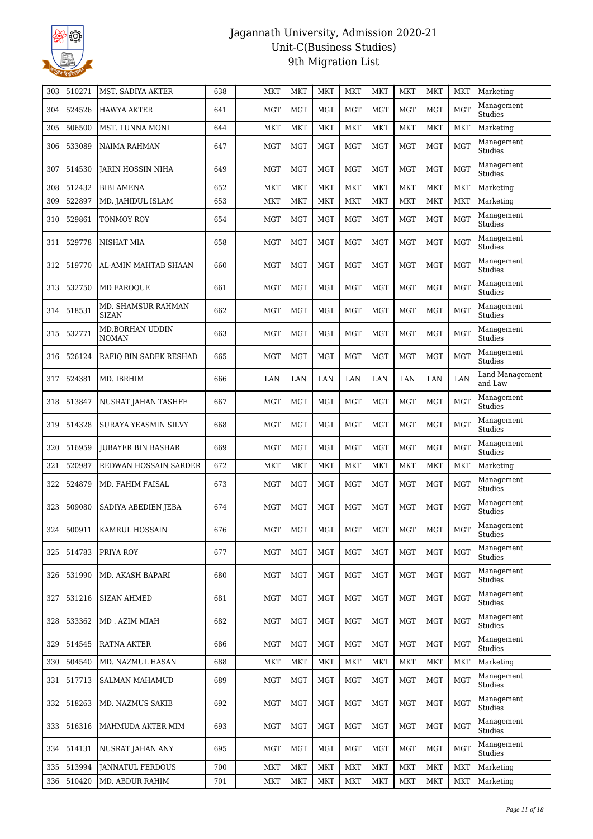

| 303 | 510271     | MST. SADIYA AKTER                      | 638 | MKT        | <b>MKT</b> | <b>MKT</b> | <b>MKT</b> | <b>MKT</b> | MKT        | <b>MKT</b>   | <b>MKT</b>   | Marketing                    |
|-----|------------|----------------------------------------|-----|------------|------------|------------|------------|------------|------------|--------------|--------------|------------------------------|
| 304 | 524526     | <b>HAWYA AKTER</b>                     | 641 | <b>MGT</b> | <b>MGT</b> | <b>MGT</b> | <b>MGT</b> | <b>MGT</b> | <b>MGT</b> | <b>MGT</b>   | <b>MGT</b>   | Management<br>Studies        |
| 305 | 506500     | MST. TUNNA MONI                        | 644 | <b>MKT</b> | <b>MKT</b> | <b>MKT</b> | <b>MKT</b> | <b>MKT</b> | <b>MKT</b> | <b>MKT</b>   | <b>MKT</b>   | Marketing                    |
| 306 | 533089     | <b>NAIMA RAHMAN</b>                    | 647 | <b>MGT</b> | <b>MGT</b> | <b>MGT</b> | <b>MGT</b> | <b>MGT</b> | <b>MGT</b> | <b>MGT</b>   | MGT          | Management<br>Studies        |
| 307 | 514530     | <b>JARIN HOSSIN NIHA</b>               | 649 | <b>MGT</b> | <b>MGT</b> | <b>MGT</b> | <b>MGT</b> | <b>MGT</b> | <b>MGT</b> | <b>MGT</b>   | <b>MGT</b>   | Management<br>Studies        |
| 308 | 512432     | <b>BIBI AMENA</b>                      | 652 | <b>MKT</b> | <b>MKT</b> | <b>MKT</b> | <b>MKT</b> | <b>MKT</b> | <b>MKT</b> | <b>MKT</b>   | <b>MKT</b>   | Marketing                    |
| 309 | 522897     | MD. JAHIDUL ISLAM                      | 653 | <b>MKT</b> | <b>MKT</b> | <b>MKT</b> | <b>MKT</b> | <b>MKT</b> | <b>MKT</b> | <b>MKT</b>   | <b>MKT</b>   | Marketing                    |
| 310 | 529861     | <b>TONMOY ROY</b>                      | 654 | <b>MGT</b> | <b>MGT</b> | <b>MGT</b> | <b>MGT</b> | <b>MGT</b> | <b>MGT</b> | <b>MGT</b>   | <b>MGT</b>   | Management<br>Studies        |
| 311 | 529778     | <b>NISHAT MIA</b>                      | 658 | <b>MGT</b> | <b>MGT</b> | <b>MGT</b> | <b>MGT</b> | <b>MGT</b> | <b>MGT</b> | <b>MGT</b>   | <b>MGT</b>   | Management<br>Studies        |
| 312 | 519770     | AL-AMIN MAHTAB SHAAN                   | 660 | <b>MGT</b> | <b>MGT</b> | <b>MGT</b> | <b>MGT</b> | <b>MGT</b> | <b>MGT</b> | <b>MGT</b>   | <b>MGT</b>   | Management<br><b>Studies</b> |
| 313 | 532750     | <b>MD FAROOUE</b>                      | 661 | MGT        | <b>MGT</b> | <b>MGT</b> | <b>MGT</b> | <b>MGT</b> | <b>MGT</b> | <b>MGT</b>   | <b>MGT</b>   | Management<br>Studies        |
| 314 | 518531     | MD. SHAMSUR RAHMAN<br><b>SIZAN</b>     | 662 | <b>MGT</b> | <b>MGT</b> | <b>MGT</b> | <b>MGT</b> | <b>MGT</b> | <b>MGT</b> | <b>MGT</b>   | <b>MGT</b>   | Management<br>Studies        |
| 315 | 532771     | <b>MD.BORHAN UDDIN</b><br><b>NOMAN</b> | 663 | <b>MGT</b> | <b>MGT</b> | <b>MGT</b> | <b>MGT</b> | <b>MGT</b> | <b>MGT</b> | <b>MGT</b>   | <b>MGT</b>   | Management<br>Studies        |
| 316 | 526124     | RAFIQ BIN SADEK RESHAD                 | 665 | <b>MGT</b> | <b>MGT</b> | <b>MGT</b> | <b>MGT</b> | <b>MGT</b> | <b>MGT</b> | <b>MGT</b>   | <b>MGT</b>   | Management<br>Studies        |
| 317 | 524381     | MD. IBRHIM                             | 666 | LAN        | LAN        | LAN        | LAN        | LAN        | LAN        | LAN          | LAN          | Land Management<br>and Law   |
| 318 | 513847     | NUSRAT JAHAN TASHFE                    | 667 | <b>MGT</b> | <b>MGT</b> | <b>MGT</b> | <b>MGT</b> | <b>MGT</b> | <b>MGT</b> | <b>MGT</b>   | <b>MGT</b>   | Management<br>Studies        |
| 319 | 514328     | SURAYA YEASMIN SILVY                   | 668 | <b>MGT</b> | <b>MGT</b> | <b>MGT</b> | <b>MGT</b> | <b>MGT</b> | <b>MGT</b> | <b>MGT</b>   | <b>MGT</b>   | Management<br>Studies        |
| 320 | 516959     | <b>JUBAYER BIN BASHAR</b>              | 669 | <b>MGT</b> | <b>MGT</b> | <b>MGT</b> | <b>MGT</b> | <b>MGT</b> | <b>MGT</b> | <b>MGT</b>   | <b>MGT</b>   | Management<br>Studies        |
| 321 | 520987     | REDWAN HOSSAIN SARDER                  | 672 | MKT        | <b>MKT</b> | <b>MKT</b> | <b>MKT</b> | <b>MKT</b> | <b>MKT</b> | <b>MKT</b>   | <b>MKT</b>   | Marketing                    |
| 322 | 524879     | MD. FAHIM FAISAL                       | 673 | MGT        | <b>MGT</b> | <b>MGT</b> | <b>MGT</b> | <b>MGT</b> | <b>MGT</b> | <b>MGT</b>   | <b>MGT</b>   | Management<br>Studies        |
| 323 | 509080     | SADIYA ABEDIEN JEBA                    | 674 | <b>MGT</b> | <b>MGT</b> | <b>MGT</b> | <b>MGT</b> | <b>MGT</b> | <b>MGT</b> | <b>MGT</b>   | <b>MGT</b>   | Management<br>Studies        |
|     | 324 500911 | KAMRUL HOSSAIN                         | 676 | MGT        | MGT        | MGT        | MGT        | MGT        | MGT        | $_{\rm MGT}$ | $_{\rm MGT}$ | Management<br>Studies        |
| 325 | 514783     | PRIYA ROY                              | 677 | <b>MGT</b> | <b>MGT</b> | MGT        | MGT        | MGT        | MGT        | MGT          | <b>MGT</b>   | Management<br>Studies        |
| 326 | 531990     | MD. AKASH BAPARI                       | 680 | <b>MGT</b> | <b>MGT</b> | <b>MGT</b> | <b>MGT</b> | <b>MGT</b> | MGT        | MGT          | <b>MGT</b>   | Management<br>Studies        |
| 327 | 531216     | <b>SIZAN AHMED</b>                     | 681 | MGT        | <b>MGT</b> | <b>MGT</b> | MGT        | <b>MGT</b> | <b>MGT</b> | <b>MGT</b>   | <b>MGT</b>   | Management<br>Studies        |
| 328 | 533362     | MD. AZIM MIAH                          | 682 | <b>MGT</b> | MGT        | MGT        | <b>MGT</b> | <b>MGT</b> | <b>MGT</b> | <b>MGT</b>   | <b>MGT</b>   | Management<br>Studies        |
| 329 | 514545     | RATNA AKTER                            | 686 | MGT        | <b>MGT</b> | MGT        | MGT        | MGT        | MGT        | <b>MGT</b>   | <b>MGT</b>   | Management<br>Studies        |
| 330 | 504540     | MD. NAZMUL HASAN                       | 688 | <b>MKT</b> | <b>MKT</b> | <b>MKT</b> | <b>MKT</b> | <b>MKT</b> | <b>MKT</b> | MKT          | <b>MKT</b>   | Marketing                    |
| 331 | 517713     | <b>SALMAN MAHAMUD</b>                  | 689 | <b>MGT</b> | <b>MGT</b> | <b>MGT</b> | MGT        | <b>MGT</b> | <b>MGT</b> | <b>MGT</b>   | <b>MGT</b>   | Management<br>Studies        |
| 332 | 518263     | MD. NAZMUS SAKIB                       | 692 | <b>MGT</b> | <b>MGT</b> | MGT        | MGT        | MGT        | MGT        | <b>MGT</b>   | <b>MGT</b>   | Management<br>Studies        |
| 333 | 516316     | MAHMUDA AKTER MIM                      | 693 | <b>MGT</b> | <b>MGT</b> | MGT        | MGT        | MGT        | MGT        | <b>MGT</b>   | <b>MGT</b>   | Management<br>Studies        |
| 334 | 514131     | NUSRAT JAHAN ANY                       | 695 | <b>MGT</b> | <b>MGT</b> | <b>MGT</b> | <b>MGT</b> | <b>MGT</b> | MGT        | MGT          | <b>MGT</b>   | Management<br>Studies        |
| 335 | 513994     | <b>JANNATUL FERDOUS</b>                | 700 | <b>MKT</b> | <b>MKT</b> | <b>MKT</b> | MKT        | <b>MKT</b> | <b>MKT</b> | <b>MKT</b>   | <b>MKT</b>   | Marketing                    |
| 336 | 510420     | MD. ABDUR RAHIM                        | 701 | MKT        | <b>MKT</b> | <b>MKT</b> | MKT        | <b>MKT</b> | MKT        | MKT          | <b>MKT</b>   | Marketing                    |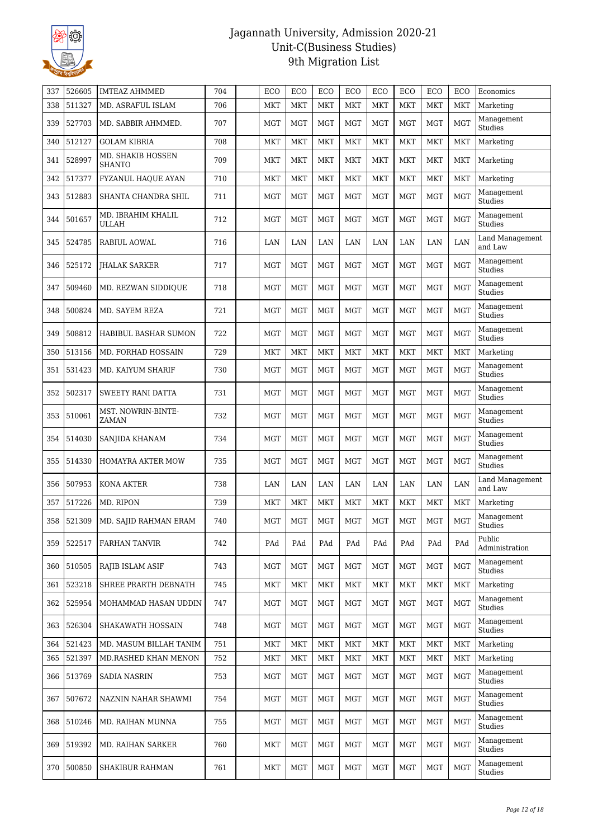

| 337 | 526605 | <b>IMTEAZ AHMMED</b>               | 704 | ECO        | ECO        | ECO        | ECO        | ECO        | ECO        | ECO        | ECO        | Economics                  |
|-----|--------|------------------------------------|-----|------------|------------|------------|------------|------------|------------|------------|------------|----------------------------|
| 338 | 511327 | MD. ASRAFUL ISLAM                  | 706 | MKT        | <b>MKT</b> | <b>MKT</b> | <b>MKT</b> | <b>MKT</b> | <b>MKT</b> | <b>MKT</b> | <b>MKT</b> | Marketing                  |
| 339 | 527703 | MD. SABBIR AHMMED.                 | 707 | MGT        | <b>MGT</b> | <b>MGT</b> | <b>MGT</b> | <b>MGT</b> | <b>MGT</b> | <b>MGT</b> | <b>MGT</b> | Management<br>Studies      |
| 340 | 512127 | <b>GOLAM KIBRIA</b>                | 708 | <b>MKT</b> | <b>MKT</b> | <b>MKT</b> | <b>MKT</b> | <b>MKT</b> | <b>MKT</b> | <b>MKT</b> | <b>MKT</b> | Marketing                  |
| 341 | 528997 | MD. SHAKIB HOSSEN<br><b>SHANTO</b> | 709 | <b>MKT</b> | <b>MKT</b> | <b>MKT</b> | <b>MKT</b> | <b>MKT</b> | <b>MKT</b> | <b>MKT</b> | <b>MKT</b> | Marketing                  |
| 342 | 517377 | FYZANUL HAQUE AYAN                 | 710 | MKT        | <b>MKT</b> | <b>MKT</b> | <b>MKT</b> | <b>MKT</b> | <b>MKT</b> | <b>MKT</b> | <b>MKT</b> | Marketing                  |
| 343 | 512883 | SHANTA CHANDRA SHIL                | 711 | <b>MGT</b> | <b>MGT</b> | <b>MGT</b> | <b>MGT</b> | <b>MGT</b> | <b>MGT</b> | <b>MGT</b> | <b>MGT</b> | Management<br>Studies      |
| 344 | 501657 | MD. IBRAHIM KHALIL<br><b>ULLAH</b> | 712 | <b>MGT</b> | <b>MGT</b> | <b>MGT</b> | <b>MGT</b> | <b>MGT</b> | <b>MGT</b> | <b>MGT</b> | <b>MGT</b> | Management<br>Studies      |
| 345 | 524785 | <b>RABIUL AOWAL</b>                | 716 | LAN        | LAN        | LAN        | LAN        | LAN        | LAN        | LAN        | LAN        | Land Management<br>and Law |
| 346 | 525172 | <b>IHALAK SARKER</b>               | 717 | <b>MGT</b> | <b>MGT</b> | <b>MGT</b> | <b>MGT</b> | <b>MGT</b> | <b>MGT</b> | <b>MGT</b> | <b>MGT</b> | Management<br>Studies      |
| 347 | 509460 | MD. REZWAN SIDDIQUE                | 718 | <b>MGT</b> | <b>MGT</b> | <b>MGT</b> | <b>MGT</b> | <b>MGT</b> | <b>MGT</b> | <b>MGT</b> | <b>MGT</b> | Management<br>Studies      |
| 348 | 500824 | MD. SAYEM REZA                     | 721 | <b>MGT</b> | <b>MGT</b> | <b>MGT</b> | <b>MGT</b> | <b>MGT</b> | <b>MGT</b> | <b>MGT</b> | <b>MGT</b> | Management<br>Studies      |
| 349 | 508812 | HABIBUL BASHAR SUMON               | 722 | <b>MGT</b> | <b>MGT</b> | <b>MGT</b> | <b>MGT</b> | <b>MGT</b> | <b>MGT</b> | <b>MGT</b> | <b>MGT</b> | Management<br>Studies      |
| 350 | 513156 | MD. FORHAD HOSSAIN                 | 729 | MKT        | <b>MKT</b> | <b>MKT</b> | <b>MKT</b> | <b>MKT</b> | <b>MKT</b> | <b>MKT</b> | <b>MKT</b> | Marketing                  |
| 351 | 531423 | MD. KAIYUM SHARIF                  | 730 | <b>MGT</b> | <b>MGT</b> | <b>MGT</b> | <b>MGT</b> | <b>MGT</b> | <b>MGT</b> | <b>MGT</b> | <b>MGT</b> | Management<br>Studies      |
| 352 | 502317 | <b>SWEETY RANI DATTA</b>           | 731 | <b>MGT</b> | <b>MGT</b> | <b>MGT</b> | <b>MGT</b> | <b>MGT</b> | <b>MGT</b> | <b>MGT</b> | <b>MGT</b> | Management<br>Studies      |
| 353 | 510061 | MST. NOWRIN-BINTE-<br>ZAMAN        | 732 | <b>MGT</b> | <b>MGT</b> | <b>MGT</b> | <b>MGT</b> | <b>MGT</b> | <b>MGT</b> | <b>MGT</b> | <b>MGT</b> | Management<br>Studies      |
| 354 | 514030 | SANJIDA KHANAM                     | 734 | MGT        | <b>MGT</b> | <b>MGT</b> | <b>MGT</b> | <b>MGT</b> | <b>MGT</b> | <b>MGT</b> | <b>MGT</b> | Management<br>Studies      |
| 355 | 514330 | HOMAYRA AKTER MOW                  | 735 | <b>MGT</b> | <b>MGT</b> | <b>MGT</b> | <b>MGT</b> | <b>MGT</b> | <b>MGT</b> | <b>MGT</b> | <b>MGT</b> | Management<br>Studies      |
| 356 | 507953 | <b>KONA AKTER</b>                  | 738 | LAN        | LAN        | LAN        | LAN        | LAN        | LAN        | LAN        | LAN        | Land Management<br>and Law |
| 357 | 517226 | MD. RIPON                          | 739 | MKT        | <b>MKT</b> | <b>MKT</b> | <b>MKT</b> | <b>MKT</b> | <b>MKT</b> | <b>MKT</b> | <b>MKT</b> | Marketing                  |
| 358 | 521309 | MD. SAJID RAHMAN ERAM              | 740 | <b>MGT</b> | <b>MGT</b> | <b>MGT</b> | <b>MGT</b> | <b>MGT</b> | <b>MGT</b> | <b>MGT</b> | <b>MGT</b> | Management<br>Studies      |
| 359 | 522517 | <b>FARHAN TANVIR</b>               | 742 | PAd        | PAd        | PAd        | PAd        | PAd        | PAd        | PAd        | PAd        | Public<br>Administration   |
| 360 | 510505 | RAJIB ISLAM ASIF                   | 743 | MGT        | <b>MGT</b> | <b>MGT</b> | <b>MGT</b> | <b>MGT</b> | <b>MGT</b> | <b>MGT</b> | <b>MGT</b> | Management<br>Studies      |
| 361 | 523218 | SHREE PRARTH DEBNATH               | 745 | MKT        | <b>MKT</b> | <b>MKT</b> | <b>MKT</b> | <b>MKT</b> | <b>MKT</b> | <b>MKT</b> | <b>MKT</b> | Marketing                  |
| 362 | 525954 | MOHAMMAD HASAN UDDIN               | 747 | MGT        | <b>MGT</b> | <b>MGT</b> | <b>MGT</b> | <b>MGT</b> | <b>MGT</b> | <b>MGT</b> | <b>MGT</b> | Management<br>Studies      |
| 363 | 526304 | SHAKAWATH HOSSAIN                  | 748 | MGT        | <b>MGT</b> | <b>MGT</b> | <b>MGT</b> | <b>MGT</b> | MGT        | <b>MGT</b> | <b>MGT</b> | Management<br>Studies      |
| 364 | 521423 | MD. MASUM BILLAH TANIM             | 751 | MKT        | <b>MKT</b> | <b>MKT</b> | <b>MKT</b> | <b>MKT</b> | <b>MKT</b> | <b>MKT</b> | <b>MKT</b> | Marketing                  |
| 365 | 521397 | MD.RASHED KHAN MENON               | 752 | <b>MKT</b> | <b>MKT</b> | <b>MKT</b> | <b>MKT</b> | <b>MKT</b> | <b>MKT</b> | <b>MKT</b> | <b>MKT</b> | Marketing                  |
| 366 | 513769 | SADIA NASRIN                       | 753 | <b>MGT</b> | <b>MGT</b> | <b>MGT</b> | <b>MGT</b> | <b>MGT</b> | <b>MGT</b> | <b>MGT</b> | <b>MGT</b> | Management<br>Studies      |
| 367 | 507672 | NAZNIN NAHAR SHAWMI                | 754 | MGT        | <b>MGT</b> | <b>MGT</b> | <b>MGT</b> | <b>MGT</b> | <b>MGT</b> | <b>MGT</b> | <b>MGT</b> | Management<br>Studies      |
| 368 | 510246 | MD. RAIHAN MUNNA                   | 755 | MGT        | <b>MGT</b> | <b>MGT</b> | <b>MGT</b> | <b>MGT</b> | MGT        | MGT        | <b>MGT</b> | Management<br>Studies      |
| 369 | 519392 | MD. RAIHAN SARKER                  | 760 | MKT        | <b>MGT</b> | <b>MGT</b> | <b>MGT</b> | <b>MGT</b> | <b>MGT</b> | MGT        | <b>MGT</b> | Management<br>Studies      |
| 370 | 500850 | <b>SHAKIBUR RAHMAN</b>             | 761 | MKT        | <b>MGT</b> | <b>MGT</b> | <b>MGT</b> | MGT        | MGT        | MGT        | <b>MGT</b> | Management<br>Studies      |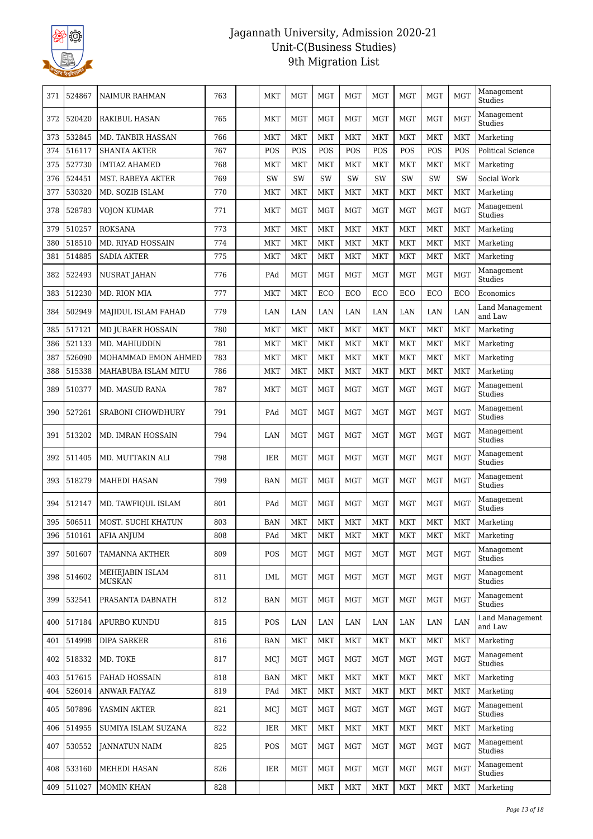

| 371 | 524867     | NAIMUR RAHMAN                    | 763 | MKT        | MGT        | MGT        | MGT        | MGT        | MGT        | MGT        | <b>MGT</b> | Management<br>Studies        |
|-----|------------|----------------------------------|-----|------------|------------|------------|------------|------------|------------|------------|------------|------------------------------|
| 372 | 520420     | <b>RAKIBUL HASAN</b>             | 765 | <b>MKT</b> | <b>MGT</b> | <b>MGT</b> | <b>MGT</b> | <b>MGT</b> | <b>MGT</b> | <b>MGT</b> | <b>MGT</b> | Management<br>Studies        |
| 373 | 532845     | <b>MD. TANBIR HASSAN</b>         | 766 | <b>MKT</b> | <b>MKT</b> | <b>MKT</b> | <b>MKT</b> | <b>MKT</b> | <b>MKT</b> | <b>MKT</b> | <b>MKT</b> | Marketing                    |
| 374 | 516117     | <b>SHANTA AKTER</b>              | 767 | POS        | POS        | POS        | POS        | POS        | POS        | POS        | POS        | Political Science            |
| 375 | 527730     | <b>IMTIAZ AHAMED</b>             | 768 | MKT        | <b>MKT</b> | <b>MKT</b> | MKT        | <b>MKT</b> | <b>MKT</b> | <b>MKT</b> | <b>MKT</b> | Marketing                    |
| 376 | 524451     | MST. RABEYA AKTER                | 769 | SW         | SW         | SW         | SW         | SW         | SW         | SW         | SW         | Social Work                  |
| 377 | 530320     | MD. SOZIB ISLAM                  | 770 | <b>MKT</b> | <b>MKT</b> | <b>MKT</b> | <b>MKT</b> | <b>MKT</b> | <b>MKT</b> | <b>MKT</b> | <b>MKT</b> | Marketing                    |
| 378 | 528783     | <b>VOJON KUMAR</b>               | 771 | <b>MKT</b> | <b>MGT</b> | <b>MGT</b> | <b>MGT</b> | <b>MGT</b> | <b>MGT</b> | <b>MGT</b> | <b>MGT</b> | Management<br><b>Studies</b> |
| 379 | 510257     | <b>ROKSANA</b>                   | 773 | <b>MKT</b> | <b>MKT</b> | <b>MKT</b> | MKT        | <b>MKT</b> | <b>MKT</b> | <b>MKT</b> | <b>MKT</b> | Marketing                    |
| 380 | 518510     | <b>MD. RIYAD HOSSAIN</b>         | 774 | <b>MKT</b> | <b>MKT</b> | <b>MKT</b> | <b>MKT</b> | <b>MKT</b> | <b>MKT</b> | <b>MKT</b> | <b>MKT</b> | Marketing                    |
| 381 | 514885     | <b>SADIA AKTER</b>               | 775 | <b>MKT</b> | <b>MKT</b> | <b>MKT</b> | <b>MKT</b> | <b>MKT</b> | <b>MKT</b> | <b>MKT</b> | <b>MKT</b> | Marketing                    |
| 382 | 522493     | NUSRAT JAHAN                     | 776 | PAd        | <b>MGT</b> | <b>MGT</b> | <b>MGT</b> | <b>MGT</b> | <b>MGT</b> | <b>MGT</b> | <b>MGT</b> | Management<br>Studies        |
| 383 | 512230     | <b>MD. RION MIA</b>              | 777 | <b>MKT</b> | <b>MKT</b> | ECO        | ECO        | ECO        | ECO        | ECO        | ECO        | Economics                    |
| 384 | 502949     | MAJIDUL ISLAM FAHAD              | 779 | LAN        | LAN        | LAN        | LAN        | LAN        | LAN        | LAN        | LAN        | Land Management<br>and Law   |
| 385 | 517121     | MD JUBAER HOSSAIN                | 780 | <b>MKT</b> | <b>MKT</b> | <b>MKT</b> | MKT        | <b>MKT</b> | <b>MKT</b> | <b>MKT</b> | <b>MKT</b> | Marketing                    |
| 386 | 521133     | MD. MAHIUDDIN                    | 781 | MKT        | <b>MKT</b> | <b>MKT</b> | <b>MKT</b> | <b>MKT</b> | <b>MKT</b> | <b>MKT</b> | <b>MKT</b> | Marketing                    |
| 387 | 526090     | MOHAMMAD EMON AHMED              | 783 | <b>MKT</b> | <b>MKT</b> | <b>MKT</b> | <b>MKT</b> | <b>MKT</b> | <b>MKT</b> | <b>MKT</b> | <b>MKT</b> | Marketing                    |
| 388 | 515338     | MAHABUBA ISLAM MITU              | 786 | <b>MKT</b> | <b>MKT</b> | <b>MKT</b> | MKT        | <b>MKT</b> | <b>MKT</b> | <b>MKT</b> | <b>MKT</b> | Marketing                    |
| 389 | 510377     | MD. MASUD RANA                   | 787 | MKT        | <b>MGT</b> | <b>MGT</b> | <b>MGT</b> | <b>MGT</b> | <b>MGT</b> | <b>MGT</b> | <b>MGT</b> | Management<br>Studies        |
| 390 | 527261     | <b>SRABONI CHOWDHURY</b>         | 791 | PAd        | <b>MGT</b> | <b>MGT</b> | <b>MGT</b> | <b>MGT</b> | <b>MGT</b> | <b>MGT</b> | <b>MGT</b> | Management<br>Studies        |
| 391 | 513202     | MD. IMRAN HOSSAIN                | 794 | LAN        | <b>MGT</b> | <b>MGT</b> | <b>MGT</b> | <b>MGT</b> | <b>MGT</b> | <b>MGT</b> | <b>MGT</b> | Management<br>Studies        |
| 392 | 511405     | MD. MUTTAKIN ALI                 | 798 | <b>IER</b> | <b>MGT</b> | <b>MGT</b> | <b>MGT</b> | <b>MGT</b> | <b>MGT</b> | <b>MGT</b> | <b>MGT</b> | Management<br>Studies        |
| 393 | 518279     | <b>MAHEDI HASAN</b>              | 799 | <b>BAN</b> | <b>MGT</b> | <b>MGT</b> | <b>MGT</b> | <b>MGT</b> | <b>MGT</b> | <b>MGT</b> | <b>MGT</b> | Management<br>Studies        |
| 394 | 512147     | MD. TAWFIOUL ISLAM               | 801 | PAd        | <b>MGT</b> | MGT        | <b>MGT</b> | <b>MGT</b> | <b>MGT</b> | <b>MGT</b> | <b>MGT</b> | Management<br><b>Studies</b> |
| 395 | 506511     | MOST. SUCHI KHATUN               | 803 | <b>BAN</b> | <b>MKT</b> | <b>MKT</b> | <b>MKT</b> | <b>MKT</b> | <b>MKT</b> | <b>MKT</b> | <b>MKT</b> | Marketing                    |
|     | 396 510161 | <b>AFIA ANJUM</b>                | 808 | PAd        | <b>MKT</b> | <b>MKT</b> | <b>MKT</b> | <b>MKT</b> | <b>MKT</b> | <b>MKT</b> | <b>MKT</b> | Marketing                    |
| 397 | 501607     | TAMANNA AKTHER                   | 809 | POS        | <b>MGT</b> | <b>MGT</b> | <b>MGT</b> | <b>MGT</b> | <b>MGT</b> | <b>MGT</b> | <b>MGT</b> | Management<br>Studies        |
| 398 | 514602     | MEHEJABIN ISLAM<br><b>MUSKAN</b> | 811 | IML        | <b>MGT</b> | <b>MGT</b> | <b>MGT</b> | <b>MGT</b> | <b>MGT</b> | <b>MGT</b> | <b>MGT</b> | Management<br>Studies        |
| 399 | 532541     | PRASANTA DABNATH                 | 812 | BAN        | <b>MGT</b> | MGT        | <b>MGT</b> | <b>MGT</b> | <b>MGT</b> | <b>MGT</b> | <b>MGT</b> | Management<br>Studies        |
| 400 | 517184     | APURBO KUNDU                     | 815 | POS        | LAN        | LAN        | LAN        | LAN        | LAN        | LAN        | LAN        | Land Management<br>and Law   |
| 401 | 514998     | <b>DIPA SARKER</b>               | 816 | BAN        | <b>MKT</b> | <b>MKT</b> | <b>MKT</b> | <b>MKT</b> | <b>MKT</b> | <b>MKT</b> | <b>MKT</b> | Marketing                    |
| 402 | 518332     | MD. TOKE                         | 817 | MCJ        | MGT        | MGT        | MGT        | MGT        | MGT        | MGT        | <b>MGT</b> | Management<br>Studies        |
| 403 | 517615     | FAHAD HOSSAIN                    | 818 | <b>BAN</b> | <b>MKT</b> | <b>MKT</b> | MKT        | <b>MKT</b> | <b>MKT</b> | <b>MKT</b> | <b>MKT</b> | Marketing                    |
| 404 | 526014     | <b>ANWAR FAIYAZ</b>              | 819 | PAd        | <b>MKT</b> | <b>MKT</b> | <b>MKT</b> | <b>MKT</b> | <b>MKT</b> | <b>MKT</b> | <b>MKT</b> | Marketing                    |
| 405 | 507896     | YASMIN AKTER                     | 821 | MCJ        | <b>MGT</b> | <b>MGT</b> | <b>MGT</b> | <b>MGT</b> | <b>MGT</b> | <b>MGT</b> | <b>MGT</b> | Management<br>Studies        |
| 406 | 514955     | SUMIYA ISLAM SUZANA              | 822 | IER.       | <b>MKT</b> | <b>MKT</b> | MKT        | <b>MKT</b> | <b>MKT</b> | <b>MKT</b> | <b>MKT</b> | Marketing                    |
| 407 | 530552     | JANNATUN NAIM                    | 825 | POS        | <b>MGT</b> | <b>MGT</b> | MGT        | <b>MGT</b> | <b>MGT</b> | <b>MGT</b> | <b>MGT</b> | Management<br>Studies        |
| 408 | 533160     | MEHEDI HASAN                     | 826 | IER        | <b>MGT</b> | <b>MGT</b> | <b>MGT</b> | <b>MGT</b> | <b>MGT</b> | <b>MGT</b> | <b>MGT</b> | Management<br>Studies        |
| 409 | 511027     | MOMIN KHAN                       | 828 |            |            | <b>MKT</b> | <b>MKT</b> | <b>MKT</b> | <b>MKT</b> | <b>MKT</b> | <b>MKT</b> | Marketing                    |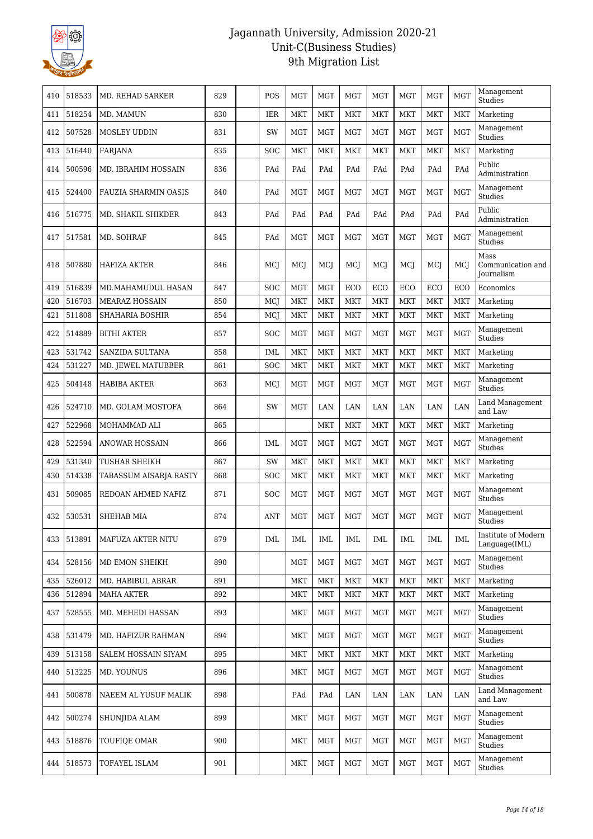

| 410 | 518533 | <b>MD. REHAD SARKER</b>     | 829 | POS        | <b>MGT</b> | <b>MGT</b> | <b>MGT</b> | <b>MGT</b> | <b>MGT</b> | <b>MGT</b> | <b>MGT</b> | Management<br>Studies                          |
|-----|--------|-----------------------------|-----|------------|------------|------------|------------|------------|------------|------------|------------|------------------------------------------------|
| 411 | 518254 | MD. MAMUN                   | 830 | IER        | <b>MKT</b> | <b>MKT</b> | MKT        | <b>MKT</b> | <b>MKT</b> | MKT        | MKT        | Marketing                                      |
| 412 | 507528 | <b>MOSLEY UDDIN</b>         | 831 | SW         | <b>MGT</b> | <b>MGT</b> | <b>MGT</b> | <b>MGT</b> | <b>MGT</b> | <b>MGT</b> | <b>MGT</b> | Management<br>Studies                          |
| 413 | 516440 | <b>FARJANA</b>              | 835 | SOC        | <b>MKT</b> | <b>MKT</b> | <b>MKT</b> | <b>MKT</b> | <b>MKT</b> | <b>MKT</b> | <b>MKT</b> | Marketing                                      |
| 414 | 500596 | MD. IBRAHIM HOSSAIN         | 836 | PAd        | PAd        | PAd        | PAd        | PAd        | PAd        | PAd        | PAd        | Public<br>Administration                       |
| 415 | 524400 | <b>FAUZIA SHARMIN OASIS</b> | 840 | PAd        | <b>MGT</b> | <b>MGT</b> | <b>MGT</b> | <b>MGT</b> | <b>MGT</b> | <b>MGT</b> | <b>MGT</b> | Management<br>Studies                          |
| 416 | 516775 | MD. SHAKIL SHIKDER          | 843 | PAd        | PAd        | PAd        | PAd        | PAd        | PAd        | PAd        | PAd        | Public<br>Administration                       |
| 417 | 517581 | MD. SOHRAF                  | 845 | PAd        | <b>MGT</b> | <b>MGT</b> | <b>MGT</b> | <b>MGT</b> | <b>MGT</b> | <b>MGT</b> | <b>MGT</b> | Management<br>Studies                          |
| 418 | 507880 | <b>HAFIZA AKTER</b>         | 846 | MCJ        | MCI        | MCI        | MCI        | MCI        | MCI        | MCI        | MCI        | Mass<br>Communication and<br><b>Journalism</b> |
| 419 | 516839 | <b>MD.MAHAMUDUL HASAN</b>   | 847 | SOC        | <b>MGT</b> | <b>MGT</b> | ECO        | ECO        | ECO        | ECO        | ECO        | Economics                                      |
| 420 | 516703 | <b>MEARAZ HOSSAIN</b>       | 850 | MCJ        | <b>MKT</b> | <b>MKT</b> | <b>MKT</b> | <b>MKT</b> | <b>MKT</b> | <b>MKT</b> | <b>MKT</b> | Marketing                                      |
| 421 | 511808 | <b>SHAHARIA BOSHIR</b>      | 854 | MCJ        | <b>MKT</b> | <b>MKT</b> | <b>MKT</b> | <b>MKT</b> | <b>MKT</b> | <b>MKT</b> | <b>MKT</b> | Marketing                                      |
| 422 | 514889 | <b>BITHI AKTER</b>          | 857 | <b>SOC</b> | <b>MGT</b> | <b>MGT</b> | <b>MGT</b> | <b>MGT</b> | <b>MGT</b> | <b>MGT</b> | <b>MGT</b> | Management<br>Studies                          |
| 423 | 531742 | <b>SANZIDA SULTANA</b>      | 858 | <b>IML</b> | <b>MKT</b> | <b>MKT</b> | <b>MKT</b> | <b>MKT</b> | <b>MKT</b> | <b>MKT</b> | <b>MKT</b> | Marketing                                      |
| 424 | 531227 | MD. JEWEL MATUBBER          | 861 | SOC        | <b>MKT</b> | <b>MKT</b> | <b>MKT</b> | <b>MKT</b> | <b>MKT</b> | <b>MKT</b> | <b>MKT</b> | Marketing                                      |
| 425 | 504148 | <b>HABIBA AKTER</b>         | 863 | MCJ        | <b>MGT</b> | <b>MGT</b> | <b>MGT</b> | <b>MGT</b> | <b>MGT</b> | <b>MGT</b> | <b>MGT</b> | Management<br>Studies                          |
| 426 | 524710 | MD. GOLAM MOSTOFA           | 864 | <b>SW</b>  | <b>MGT</b> | LAN        | LAN        | LAN        | LAN        | LAN        | LAN        | Land Management<br>and Law                     |
| 427 | 522968 | MOHAMMAD ALI                | 865 |            |            | <b>MKT</b> | <b>MKT</b> | <b>MKT</b> | <b>MKT</b> | <b>MKT</b> | <b>MKT</b> | Marketing                                      |
| 428 | 522594 | ANOWAR HOSSAIN              | 866 | <b>IML</b> | <b>MGT</b> | <b>MGT</b> | <b>MGT</b> | <b>MGT</b> | <b>MGT</b> | <b>MGT</b> | <b>MGT</b> | Management<br>Studies                          |
| 429 | 531340 | TUSHAR SHEIKH               | 867 | SW         | <b>MKT</b> | <b>MKT</b> | <b>MKT</b> | <b>MKT</b> | <b>MKT</b> | <b>MKT</b> | <b>MKT</b> | Marketing                                      |
| 430 | 514338 | TABASSUM AISARJA RASTY      | 868 | <b>SOC</b> | <b>MKT</b> | <b>MKT</b> | <b>MKT</b> | <b>MKT</b> | <b>MKT</b> | <b>MKT</b> | <b>MKT</b> | Marketing                                      |
| 431 | 509085 | REDOAN AHMED NAFIZ          | 871 | <b>SOC</b> | <b>MGT</b> | <b>MGT</b> | <b>MGT</b> | <b>MGT</b> | <b>MGT</b> | <b>MGT</b> | <b>MGT</b> | Management<br>Studies                          |
| 432 | 530531 | <b>SHEHAB MIA</b>           | 874 | <b>ANT</b> | <b>MGT</b> | <b>MGT</b> | <b>MGT</b> | <b>MGT</b> | <b>MGT</b> | <b>MGT</b> | <b>MGT</b> | Management<br>Studies                          |
| 433 | 513891 | MAFUZA AKTER NITU           | 879 | IML        | <b>IML</b> | <b>IML</b> | IML        | <b>IML</b> | IML        | IML        | <b>IML</b> | Institute of Modern<br>Language(IML)           |
| 434 | 528156 | MD EMON SHEIKH              | 890 |            | MGT        | MGT        | MGT        | MGT        | MGT        | <b>MGT</b> | <b>MGT</b> | Management<br>Studies                          |
| 435 | 526012 | MD. HABIBUL ABRAR           | 891 |            | <b>MKT</b> | <b>MKT</b> | <b>MKT</b> | <b>MKT</b> | <b>MKT</b> | <b>MKT</b> | <b>MKT</b> | Marketing                                      |
| 436 | 512894 | MAHA AKTER                  | 892 |            | <b>MKT</b> | <b>MKT</b> | <b>MKT</b> | <b>MKT</b> | <b>MKT</b> | <b>MKT</b> | <b>MKT</b> | Marketing                                      |
| 437 | 528555 | MD. MEHEDI HASSAN           | 893 |            | <b>MKT</b> | <b>MGT</b> | <b>MGT</b> | <b>MGT</b> | <b>MGT</b> | <b>MGT</b> | MGT        | Management<br>Studies                          |
| 438 | 531479 | MD. HAFIZUR RAHMAN          | 894 |            | MKT        | MGT        | MGT        | MGT        | <b>MGT</b> | <b>MGT</b> | <b>MGT</b> | Management<br>Studies                          |
| 439 | 513158 | SALEM HOSSAIN SIYAM         | 895 |            | MKT        | <b>MKT</b> | <b>MKT</b> | MKT        | MKT        | <b>MKT</b> | <b>MKT</b> | Marketing                                      |
| 440 | 513225 | MD. YOUNUS                  | 896 |            | <b>MKT</b> | <b>MGT</b> | MGT        | <b>MGT</b> | <b>MGT</b> | <b>MGT</b> | <b>MGT</b> | Management<br>Studies                          |
| 441 | 500878 | NAEEM AL YUSUF MALIK        | 898 |            | PAd        | PAd        | LAN        | LAN        | LAN        | LAN        | LAN        | Land Management<br>and Law                     |
| 442 | 500274 | SHUNJIDA ALAM               | 899 |            | MKT        | MGT        | MGT        | MGT        | MGT        | MGT        | <b>MGT</b> | Management<br>Studies                          |
| 443 | 518876 | TOUFIQE OMAR                | 900 |            | MKT        | MGT        | MGT        | MGT        | <b>MGT</b> | MGT        | <b>MGT</b> | Management<br>Studies                          |
| 444 | 518573 | TOFAYEL ISLAM               | 901 |            | <b>MKT</b> | <b>MGT</b> | MGT        | <b>MGT</b> | <b>MGT</b> | MGT        | <b>MGT</b> | Management<br>Studies                          |
|     |        |                             |     |            |            |            |            |            |            |            |            |                                                |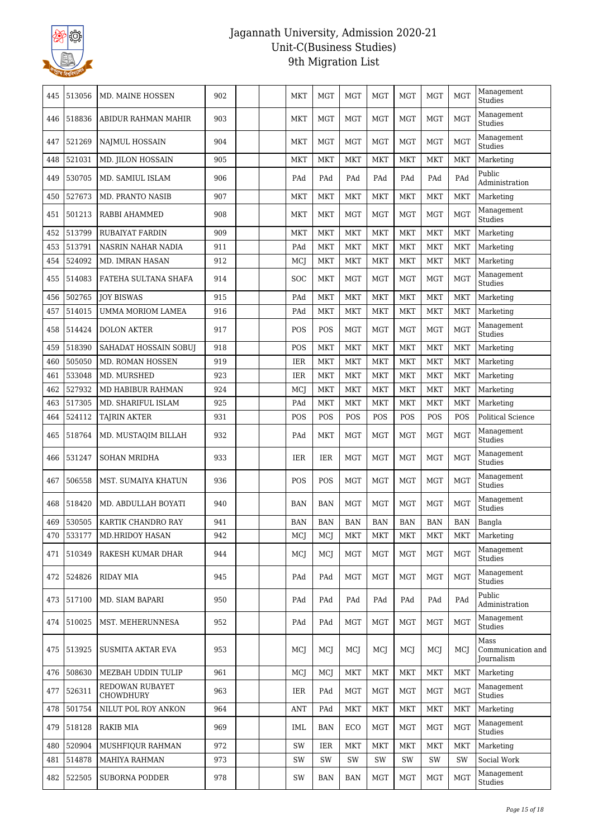

| 445 | 513056     | MD. MAINE HOSSEN             | 902 | MKT        | <b>MGT</b> | <b>MGT</b> | <b>MGT</b> | <b>MGT</b> | <b>MGT</b> | <b>MGT</b> | Management<br>Studies                   |
|-----|------------|------------------------------|-----|------------|------------|------------|------------|------------|------------|------------|-----------------------------------------|
| 446 | 518836     | ABIDUR RAHMAN MAHIR          | 903 | <b>MKT</b> | <b>MGT</b> | MGT        | MGT        | <b>MGT</b> | <b>MGT</b> | <b>MGT</b> | Management<br>Studies                   |
| 447 | 521269     | NAJMUL HOSSAIN               | 904 | <b>MKT</b> | <b>MGT</b> | <b>MGT</b> | <b>MGT</b> | <b>MGT</b> | <b>MGT</b> | <b>MGT</b> | Management<br>Studies                   |
| 448 | 521031     | MD. JILON HOSSAIN            | 905 | <b>MKT</b> | <b>MKT</b> | <b>MKT</b> | <b>MKT</b> | <b>MKT</b> | <b>MKT</b> | <b>MKT</b> | Marketing                               |
| 449 | 530705     | MD. SAMIUL ISLAM             | 906 | PAd        | PAd        | PAd        | PAd        | PAd        | PAd        | PAd        | Public<br>Administration                |
| 450 | 527673     | <b>MD. PRANTO NASIB</b>      | 907 | <b>MKT</b> | <b>MKT</b> | MKT        | MKT        | <b>MKT</b> | <b>MKT</b> | <b>MKT</b> | Marketing                               |
| 451 | 501213     | RABBI AHAMMED                | 908 | <b>MKT</b> | <b>MKT</b> | <b>MGT</b> | <b>MGT</b> | <b>MGT</b> | <b>MGT</b> | <b>MGT</b> | Management<br>Studies                   |
| 452 | 513799     | RUBAIYAT FARDIN              | 909 | MKT        | <b>MKT</b> | <b>MKT</b> | <b>MKT</b> | <b>MKT</b> | <b>MKT</b> | <b>MKT</b> | Marketing                               |
| 453 | 513791     | NASRIN NAHAR NADIA           | 911 | PAd        | <b>MKT</b> | <b>MKT</b> | <b>MKT</b> | <b>MKT</b> | <b>MKT</b> | <b>MKT</b> | Marketing                               |
| 454 | 524092     | MD. IMRAN HASAN              | 912 | MCJ        | <b>MKT</b> | <b>MKT</b> | <b>MKT</b> | <b>MKT</b> | <b>MKT</b> | <b>MKT</b> | Marketing                               |
| 455 | 514083     | FATEHA SULTANA SHAFA         | 914 | SOC        | <b>MKT</b> | <b>MGT</b> | <b>MGT</b> | <b>MGT</b> | <b>MGT</b> | <b>MGT</b> | Management<br>Studies                   |
| 456 | 502765     | <b>JOY BISWAS</b>            | 915 | PAd        | <b>MKT</b> | <b>MKT</b> | <b>MKT</b> | <b>MKT</b> | <b>MKT</b> | <b>MKT</b> | Marketing                               |
| 457 | 514015     | UMMA MORIOM LAMEA            | 916 | PAd        | <b>MKT</b> | <b>MKT</b> | <b>MKT</b> | <b>MKT</b> | <b>MKT</b> | <b>MKT</b> | Marketing                               |
| 458 | 514424     | <b>DOLON AKTER</b>           | 917 | POS        | POS        | <b>MGT</b> | <b>MGT</b> | <b>MGT</b> | <b>MGT</b> | <b>MGT</b> | Management<br>Studies                   |
| 459 | 518390     | SAHADAT HOSSAIN SOBUI        | 918 | POS        | <b>MKT</b> | <b>MKT</b> | <b>MKT</b> | <b>MKT</b> | <b>MKT</b> | <b>MKT</b> | Marketing                               |
| 460 | 505050     | MD. ROMAN HOSSEN             | 919 | <b>IER</b> | <b>MKT</b> | <b>MKT</b> | <b>MKT</b> | <b>MKT</b> | <b>MKT</b> | <b>MKT</b> | Marketing                               |
| 461 | 533048     | MD. MURSHED                  | 923 | IER        | <b>MKT</b> | <b>MKT</b> | <b>MKT</b> | <b>MKT</b> | <b>MKT</b> | <b>MKT</b> | Marketing                               |
| 462 | 527932     | MD HABIBUR RAHMAN            | 924 | MCJ        | <b>MKT</b> | <b>MKT</b> | <b>MKT</b> | <b>MKT</b> | <b>MKT</b> | <b>MKT</b> | Marketing                               |
| 463 | 517305     | MD. SHARIFUL ISLAM           | 925 | PAd        | <b>MKT</b> | <b>MKT</b> | <b>MKT</b> | <b>MKT</b> | <b>MKT</b> | <b>MKT</b> | Marketing                               |
| 464 | 524112     | <b>TAJRIN AKTER</b>          | 931 | POS        | POS        | POS        | POS        | POS        | POS        | POS        | <b>Political Science</b>                |
| 465 | 518764     | MD. MUSTAQIM BILLAH          | 932 | PAd        | <b>MKT</b> | <b>MGT</b> | <b>MGT</b> | <b>MGT</b> | <b>MGT</b> | <b>MGT</b> | Management<br><b>Studies</b>            |
| 466 | 531247     | <b>SOHAN MRIDHA</b>          | 933 | IER        | IER        | <b>MGT</b> | <b>MGT</b> | <b>MGT</b> | <b>MGT</b> | <b>MGT</b> | Management<br>Studies                   |
| 467 | 506558     | MST. SUMAIYA KHATUN          | 936 | <b>POS</b> | POS        | <b>MGT</b> | <b>MGT</b> | <b>MGT</b> | <b>MGT</b> | <b>MGT</b> | Management<br>Studies                   |
| 468 | 518420     | MD. ABDULLAH BOYATI          | 940 | <b>BAN</b> | <b>BAN</b> | <b>MGT</b> | <b>MGT</b> | <b>MGT</b> | <b>MGT</b> | <b>MGT</b> | Management<br>Studies                   |
| 469 | 530505     | KARTIK CHANDRO RAY           | 941 | <b>BAN</b> | <b>BAN</b> | <b>BAN</b> | <b>BAN</b> | <b>BAN</b> | <b>BAN</b> | <b>BAN</b> | Bangla                                  |
|     | 470 533177 | <b>MD.HRIDOY HASAN</b>       | 942 | MCJ        | MCJ        | <b>MKT</b> | <b>MKT</b> | <b>MKT</b> | <b>MKT</b> | MKT        | Marketing                               |
| 471 | 510349     | RAKESH KUMAR DHAR            | 944 | MCJ        | MCJ        | <b>MGT</b> | <b>MGT</b> | <b>MGT</b> | <b>MGT</b> | <b>MGT</b> | Management<br>Studies                   |
| 472 | 524826     | <b>RIDAY MIA</b>             | 945 | PAd        | PAd        | MGT        | MGT        | MGT        | MGT        | <b>MGT</b> | Management<br>Studies                   |
| 473 | 517100     | MD. SIAM BAPARI              | 950 | PAd        | PAd        | PAd        | PAd        | PAd        | PAd        | PAd        | Public<br>Administration                |
| 474 | 510025     | MST. MEHERUNNESA             | 952 | PAd        | PAd        | MGT        | MGT        | <b>MGT</b> | MGT        | <b>MGT</b> | Management<br>Studies                   |
| 475 | 513925     | <b>SUSMITA AKTAR EVA</b>     | 953 | MCJ        | MCI        | MCI        | MCJ        | MCJ        | MCI        | MCJ        | Mass<br>Communication and<br>Journalism |
| 476 | 508630     | MEZBAH UDDIN TULIP           | 961 | MCJ        | MCJ        | MKT        | <b>MKT</b> | <b>MKT</b> | <b>MKT</b> | <b>MKT</b> | Marketing                               |
| 477 | 526311     | REDOWAN RUBAYET<br>CHOWDHURY | 963 | IER        | PAd        | MGT        | MGT        | MGT        | <b>MGT</b> | <b>MGT</b> | Management<br>Studies                   |
| 478 | 501754     | NILUT POL ROY ANKON          | 964 | <b>ANT</b> | PAd        | MKT        | MKT        | <b>MKT</b> | <b>MKT</b> | <b>MKT</b> | Marketing                               |
| 479 | 518128     | <b>RAKIB MIA</b>             | 969 | IML        | <b>BAN</b> | ECO        | MGT        | MGT        | <b>MGT</b> | <b>MGT</b> | Management<br>Studies                   |
| 480 | 520904     | MUSHFIQUR RAHMAN             | 972 | SW         | IER        | MKT        | <b>MKT</b> | <b>MKT</b> | <b>MKT</b> | <b>MKT</b> | Marketing                               |
| 481 | 514878     | MAHIYA RAHMAN                | 973 | SW         | SW         | SW         | SW         | SW         | SW         | SW         | Social Work                             |
| 482 | 522505     | <b>SUBORNA PODDER</b>        | 978 | SW         | <b>BAN</b> | <b>BAN</b> | MGT        | MGT        | MGT        | MGT        | Management<br>Studies                   |
|     |            |                              |     |            |            |            |            |            |            |            |                                         |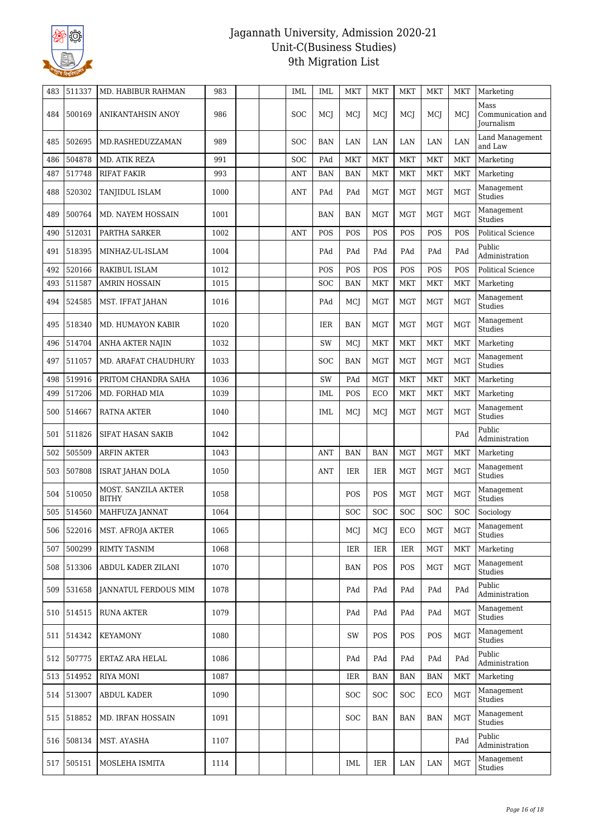

| 483 | 511337 | MD. HABIBUR RAHMAN                  | 983  | <b>IML</b> | <b>IML</b> | <b>MKT</b> | <b>MKT</b> | <b>MKT</b>   | MKT          | <b>MKT</b> | Marketing                                      |
|-----|--------|-------------------------------------|------|------------|------------|------------|------------|--------------|--------------|------------|------------------------------------------------|
| 484 | 500169 | ANIKANTAHSIN ANOY                   | 986  | SOC        | MCI        | MCI        | MCJ        | MCI          | MCI          | MCI        | Mass<br>Communication and<br><b>Journalism</b> |
| 485 | 502695 | MD.RASHEDUZZAMAN                    | 989  | <b>SOC</b> | <b>BAN</b> | LAN        | LAN        | LAN          | LAN          | LAN        | Land Management<br>and Law                     |
| 486 | 504878 | MD. ATIK REZA                       | 991  | <b>SOC</b> | PAd        | <b>MKT</b> | <b>MKT</b> | <b>MKT</b>   | <b>MKT</b>   | <b>MKT</b> | Marketing                                      |
| 487 | 517748 | <b>RIFAT FAKIR</b>                  | 993  | <b>ANT</b> | <b>BAN</b> | <b>BAN</b> | <b>MKT</b> | <b>MKT</b>   | <b>MKT</b>   | <b>MKT</b> | Marketing                                      |
| 488 | 520302 | TANJIDUL ISLAM                      | 1000 | <b>ANT</b> | PAd        | PAd        | <b>MGT</b> | <b>MGT</b>   | <b>MGT</b>   | <b>MGT</b> | Management<br>Studies                          |
| 489 | 500764 | MD. NAYEM HOSSAIN                   | 1001 |            | <b>BAN</b> | BAN        | <b>MGT</b> | <b>MGT</b>   | <b>MGT</b>   | <b>MGT</b> | Management<br>Studies                          |
| 490 | 512031 | PARTHA SARKER                       | 1002 | ANT        | POS        | POS        | POS        | <b>POS</b>   | POS          | POS        | Political Science                              |
| 491 | 518395 | MINHAZ-UL-ISLAM                     | 1004 |            | PAd        | PAd        | PAd        | PAd          | PAd          | PAd        | Public<br>Administration                       |
| 492 | 520166 | RAKIBUL ISLAM                       | 1012 |            | POS        | POS        | POS        | POS          | POS          | POS        | <b>Political Science</b>                       |
| 493 | 511587 | <b>AMRIN HOSSAIN</b>                | 1015 |            | SOC        | <b>BAN</b> | <b>MKT</b> | <b>MKT</b>   | <b>MKT</b>   | <b>MKT</b> | Marketing                                      |
| 494 | 524585 | MST. IFFAT JAHAN                    | 1016 |            | PAd        | MCJ        | <b>MGT</b> | <b>MGT</b>   | <b>MGT</b>   | MGT        | Management<br>Studies                          |
| 495 | 518340 | MD. HUMAYON KABIR                   | 1020 |            | IER        | BAN        | <b>MGT</b> | <b>MGT</b>   | <b>MGT</b>   | MGT        | Management<br>Studies                          |
| 496 | 514704 | ANHA AKTER NAJIN                    | 1032 |            | SW         | MCJ        | <b>MKT</b> | <b>MKT</b>   | <b>MKT</b>   | <b>MKT</b> | Marketing                                      |
| 497 | 511057 | MD. ARAFAT CHAUDHURY                | 1033 |            | <b>SOC</b> | <b>BAN</b> | <b>MGT</b> | <b>MGT</b>   | <b>MGT</b>   | <b>MGT</b> | Management<br>Studies                          |
| 498 | 519916 | PRITOM CHANDRA SAHA                 | 1036 |            | SW         | PAd        | <b>MGT</b> | <b>MKT</b>   | <b>MKT</b>   | <b>MKT</b> | Marketing                                      |
| 499 | 517206 | MD. FORHAD MIA                      | 1039 |            | <b>IML</b> | POS        | ECO        | MKT          | <b>MKT</b>   | <b>MKT</b> | Marketing                                      |
| 500 | 514667 | RATNA AKTER                         | 1040 |            | IML        | MCJ        | MCJ        | <b>MGT</b>   | <b>MGT</b>   | <b>MGT</b> | Management<br>Studies                          |
| 501 | 511826 | <b>SIFAT HASAN SAKIB</b>            | 1042 |            |            |            |            |              |              | PAd        | Public<br>Administration                       |
| 502 | 505509 | <b>ARFIN AKTER</b>                  | 1043 |            | <b>ANT</b> | <b>BAN</b> | <b>BAN</b> | <b>MGT</b>   | <b>MGT</b>   | <b>MKT</b> | Marketing                                      |
| 503 | 507808 | ISRAT JAHAN DOLA                    | 1050 |            | <b>ANT</b> | IER        | IER        | <b>MGT</b>   | <b>MGT</b>   | <b>MGT</b> | Management<br>Studies                          |
| 504 | 510050 | MOST. SANZILA AKTER<br><b>BITHY</b> | 1058 |            |            | POS        | POS        | <b>MGT</b>   | <b>MGT</b>   | MGT        | Management<br><b>Studies</b>                   |
| 505 | 514560 | MAHFUZA JANNAT                      | 1064 |            |            | <b>SOC</b> | SOC        | SOC          | SOC          | SOC        | Sociology                                      |
|     |        | 506 522016   MST. AFROJA AKTER      | 1065 |            |            | MCJ        | MCJ        | $_{\rm ECO}$ | $_{\rm MGT}$ | MGT        | Management<br>Studies                          |
| 507 | 500299 | <b>RIMTY TASNIM</b>                 | 1068 |            |            | IER        | IER        | IER          | <b>MGT</b>   | <b>MKT</b> | Marketing                                      |
| 508 | 513306 | ABDUL KADER ZILANI                  | 1070 |            |            | BAN        | POS        | POS          | <b>MGT</b>   | <b>MGT</b> | Management<br><b>Studies</b>                   |
| 509 | 531658 | JANNATUL FERDOUS MIM                | 1078 |            |            | PAd        | PAd        | PAd          | PAd          | PAd        | Public<br>Administration                       |
| 510 | 514515 | RUNA AKTER                          | 1079 |            |            | PAd        | PAd        | PAd          | PAd          | <b>MGT</b> | Management<br><b>Studies</b>                   |
| 511 | 514342 | <b>KEYAMONY</b>                     | 1080 |            |            | SW         | POS        | POS          | POS          | <b>MGT</b> | Management<br>Studies                          |
| 512 | 507775 | ERTAZ ARA HELAL                     | 1086 |            |            | PAd        | PAd        | PAd          | PAd          | PAd        | Public<br>Administration                       |
| 513 | 514952 | <b>RIYA MONI</b>                    | 1087 |            |            | <b>IER</b> | <b>BAN</b> | <b>BAN</b>   | <b>BAN</b>   | <b>MKT</b> | Marketing                                      |
| 514 | 513007 | ABDUL KADER                         | 1090 |            |            | <b>SOC</b> | <b>SOC</b> | <b>SOC</b>   | ECO          | <b>MGT</b> | Management<br>Studies                          |
| 515 | 518852 | MD. IRFAN HOSSAIN                   | 1091 |            |            | SOC        | <b>BAN</b> | <b>BAN</b>   | BAN          | <b>MGT</b> | Management<br>Studies                          |
| 516 | 508134 | MST. AYASHA                         | 1107 |            |            |            |            |              |              | PAd        | Public<br>Administration                       |
| 517 | 505151 | MOSLEHA ISMITA                      | 1114 |            |            | IML        | IER        | LAN          | LAN          | <b>MGT</b> | Management<br>Studies                          |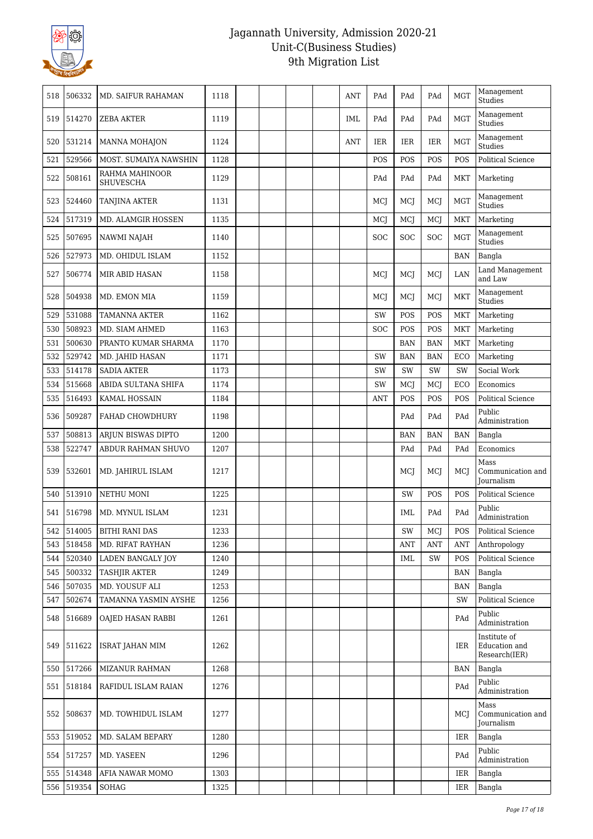

| 518 | 506332     | MD. SAIFUR RAHAMAN                 | 1118 |  |  | <b>ANT</b> | PAd        | PAd        | PAd        | <b>MGT</b> | Management<br>Studies                          |
|-----|------------|------------------------------------|------|--|--|------------|------------|------------|------------|------------|------------------------------------------------|
| 519 | 514270     | <b>ZEBA AKTER</b>                  | 1119 |  |  | <b>IML</b> | PAd        | PAd        | PAd        | <b>MGT</b> | Management<br>Studies                          |
| 520 | 531214     | <b>MANNA MOHAJON</b>               | 1124 |  |  | <b>ANT</b> | <b>IER</b> | <b>IER</b> | <b>IER</b> | <b>MGT</b> | Management<br>Studies                          |
| 521 | 529566     | MOST. SUMAIYA NAWSHIN              | 1128 |  |  |            | POS        | POS        | POS        | POS        | <b>Political Science</b>                       |
| 522 | 508161     | RAHMA MAHINOOR<br><b>SHUVESCHA</b> | 1129 |  |  |            | PAd        | PAd        | PAd        | <b>MKT</b> | Marketing                                      |
| 523 | 524460     | <b>TANJINA AKTER</b>               | 1131 |  |  |            | MCJ        | MCJ        | MCJ        | <b>MGT</b> | Management<br>Studies                          |
| 524 | 517319     | MD. ALAMGIR HOSSEN                 | 1135 |  |  |            | MCJ        | MCJ        | MCJ        | <b>MKT</b> | Marketing                                      |
| 525 | 507695     | <b>NAWMI NAJAH</b>                 | 1140 |  |  |            | SOC        | SOC        | SOC        | <b>MGT</b> | Management<br>Studies                          |
| 526 | 527973     | MD. OHIDUL ISLAM                   | 1152 |  |  |            |            |            |            | <b>BAN</b> | Bangla                                         |
| 527 | 506774     | MIR ABID HASAN                     | 1158 |  |  |            | MCJ        | MCJ        | MCJ        | LAN        | Land Management<br>and Law                     |
| 528 | 504938     | MD. EMON MIA                       | 1159 |  |  |            | MCI        | MCJ        | MCJ        | <b>MKT</b> | Management<br>Studies                          |
| 529 | 531088     | <b>TAMANNA AKTER</b>               | 1162 |  |  |            | <b>SW</b>  | POS        | POS        | <b>MKT</b> | Marketing                                      |
| 530 | 508923     | MD. SIAM AHMED                     | 1163 |  |  |            | SOC        | POS        | POS        | <b>MKT</b> | Marketing                                      |
| 531 | 500630     | PRANTO KUMAR SHARMA                | 1170 |  |  |            |            | <b>BAN</b> | <b>BAN</b> | <b>MKT</b> | Marketing                                      |
| 532 | 529742     | MD. JAHID HASAN                    | 1171 |  |  |            | SW         | <b>BAN</b> | <b>BAN</b> | <b>ECO</b> | Marketing                                      |
| 533 | 514178     | <b>SADIA AKTER</b>                 | 1173 |  |  |            | SW         | SW         | SW         | SW         | Social Work                                    |
| 534 | 515668     | ABIDA SULTANA SHIFA                | 1174 |  |  |            | SW         | MCJ        | MCJ        | ECO        | Economics                                      |
| 535 | 516493     | <b>KAMAL HOSSAIN</b>               | 1184 |  |  |            | <b>ANT</b> | POS        | POS        | POS        | <b>Political Science</b>                       |
| 536 | 509287     | FAHAD CHOWDHURY                    | 1198 |  |  |            |            | PAd        | PAd        | PAd        | Public<br>Administration                       |
| 537 | 508813     | ARJUN BISWAS DIPTO                 | 1200 |  |  |            |            | <b>BAN</b> | <b>BAN</b> | <b>BAN</b> | Bangla                                         |
| 538 | 522747     | ABDUR RAHMAN SHUVO                 | 1207 |  |  |            |            | PAd        | PAd        | PAd        | Economics                                      |
| 539 | 532601     | MD. JAHIRUL ISLAM                  | 1217 |  |  |            |            | MCJ        | MCJ        | MCI        | Mass<br>Communication and<br><b>Journalism</b> |
| 540 | 513910     | NETHU MONI                         | 1225 |  |  |            |            | SW         | POS        | POS        | <b>Political Science</b>                       |
| 541 | 516798     | MD. MYNUL ISLAM                    | 1231 |  |  |            |            | <b>IML</b> | PAd        | PAd        | Public<br>Administration                       |
| 542 | 514005     | <b>BITHI RANI DAS</b>              | 1233 |  |  |            |            | SW         | MCJ        | POS        | Political Science                              |
| 543 | 518458     | MD. RIFAT RAYHAN                   | 1236 |  |  |            |            | ANT        | ANT        | ANT        | Anthropology                                   |
| 544 | 520340     | LADEN BANGALY JOY                  | 1240 |  |  |            |            | <b>IML</b> | SW         | POS        | Political Science                              |
| 545 | 500332     | <b>TASHJIR AKTER</b>               | 1249 |  |  |            |            |            |            | <b>BAN</b> | Bangla                                         |
| 546 | 507035     | MD. YOUSUF ALI                     | 1253 |  |  |            |            |            |            | BAN        | Bangla                                         |
| 547 | 502674     | TAMANNA YASMIN AYSHE               | 1256 |  |  |            |            |            |            | SW         | <b>Political Science</b>                       |
|     | 548 516689 | OAJED HASAN RABBI                  | 1261 |  |  |            |            |            |            | PAd        | Public<br>Administration                       |
| 549 | 511622     | <b>ISRAT JAHAN MIM</b>             | 1262 |  |  |            |            |            |            | <b>IER</b> | Institute of<br>Education and<br>Research(IER) |
| 550 | 517266     | <b>MIZANUR RAHMAN</b>              | 1268 |  |  |            |            |            |            | BAN        | Bangla                                         |
| 551 | 518184     | RAFIDUL ISLAM RAIAN                | 1276 |  |  |            |            |            |            | PAd        | Public<br>Administration                       |
| 552 | 508637     | MD. TOWHIDUL ISLAM                 | 1277 |  |  |            |            |            |            | MCI        | Mass<br>Communication and<br>Journalism        |
| 553 | 519052     | MD. SALAM BEPARY                   | 1280 |  |  |            |            |            |            | IER        | Bangla                                         |
| 554 | 517257     | MD. YASEEN                         | 1296 |  |  |            |            |            |            | PAd        | Public<br>Administration                       |
| 555 | 514348     | AFIA NAWAR MOMO                    | 1303 |  |  |            |            |            |            | IER        | Bangla                                         |
|     | 556 519354 | SOHAG                              | 1325 |  |  |            |            |            |            | IER        | Bangla                                         |
|     |            |                                    |      |  |  |            |            |            |            |            |                                                |